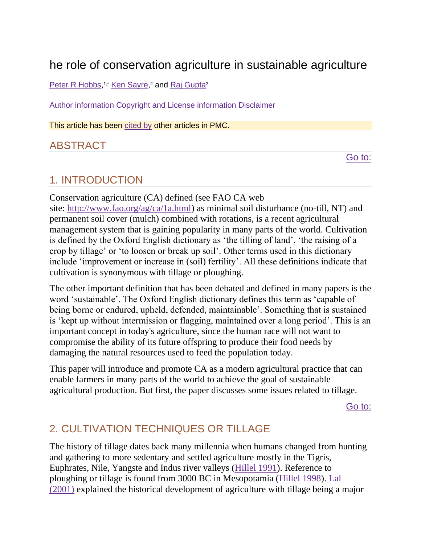# he role of conservation agriculture in sustainable agriculture

[Peter R Hobbs,](https://www.ncbi.nlm.nih.gov/pubmed/?term=Hobbs%20PR%5BAuthor%5D&cauthor=true&cauthor_uid=17720669)<sup>1,\*</sup> [Ken Sayre,](https://www.ncbi.nlm.nih.gov/pubmed/?term=Sayre%20K%5BAuthor%5D&cauthor=true&cauthor_uid=17720669)<sup>2</sup> and [Raj Gupta](https://www.ncbi.nlm.nih.gov/pubmed/?term=Gupta%20R%5BAuthor%5D&cauthor=true&cauthor_uid=17720669)<sup>3</sup>

[Author information](https://www.ncbi.nlm.nih.gov/pmc/articles/PMC2610169/) [Copyright and License information](https://www.ncbi.nlm.nih.gov/pmc/articles/PMC2610169/) [Disclaimer](https://www.ncbi.nlm.nih.gov/pmc/about/disclaimer/)

This article has been [cited by](https://www.ncbi.nlm.nih.gov/pmc/articles/PMC2610169/citedby/) other articles in PMC.

## ABSTRACT

[Go to:](https://www.ncbi.nlm.nih.gov/pmc/articles/PMC2610169/)

## 1. INTRODUCTION

Conservation agriculture (CA) defined (see FAO CA web site: [http://www.fao.org/ag/ca/1a.html\)](http://www.fao.org/ag/ca/1a.html) as minimal soil disturbance (no-till, NT) and permanent soil cover (mulch) combined with rotations, is a recent agricultural management system that is gaining popularity in many parts of the world. Cultivation is defined by the Oxford English dictionary as 'the tilling of land', 'the raising of a crop by tillage' or 'to loosen or break up soil'. Other terms used in this dictionary include 'improvement or increase in (soil) fertility'. All these definitions indicate that cultivation is synonymous with tillage or ploughing.

The other important definition that has been debated and defined in many papers is the word 'sustainable'. The Oxford English dictionary defines this term as 'capable of being borne or endured, upheld, defended, maintainable'. Something that is sustained is 'kept up without intermission or flagging, maintained over a long period'. This is an important concept in today's agriculture, since the human race will not want to compromise the ability of its future offspring to produce their food needs by damaging the natural resources used to feed the population today.

This paper will introduce and promote CA as a modern agricultural practice that can enable farmers in many parts of the world to achieve the goal of sustainable agricultural production. But first, the paper discusses some issues related to tillage.

[Go to:](https://www.ncbi.nlm.nih.gov/pmc/articles/PMC2610169/)

## 2. CULTIVATION TECHNIQUES OR TILLAGE

The history of tillage dates back many millennia when humans changed from hunting and gathering to more sedentary and settled agriculture mostly in the Tigris, Euphrates, Nile, Yangste and Indus river valleys [\(Hillel 1991\)](https://www.ncbi.nlm.nih.gov/pmc/articles/PMC2610169/#bib47). Reference to ploughing or tillage is found from 3000 BC in Mesopotamia [\(Hillel 1998\)](https://www.ncbi.nlm.nih.gov/pmc/articles/PMC2610169/#bib48). [Lal](https://www.ncbi.nlm.nih.gov/pmc/articles/PMC2610169/#bib64)  [\(2001\)](https://www.ncbi.nlm.nih.gov/pmc/articles/PMC2610169/#bib64) explained the historical development of agriculture with tillage being a major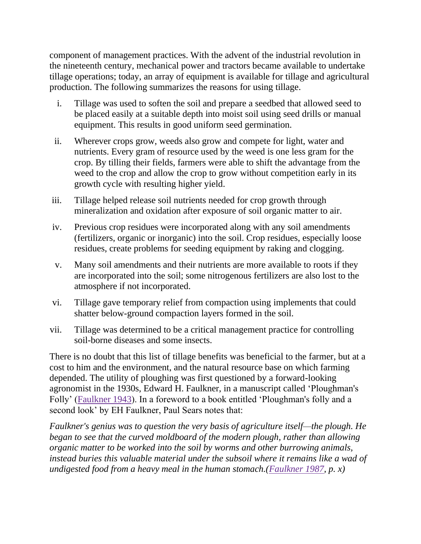component of management practices. With the advent of the industrial revolution in the nineteenth century, mechanical power and tractors became available to undertake tillage operations; today, an array of equipment is available for tillage and agricultural production. The following summarizes the reasons for using tillage.

- i. Tillage was used to soften the soil and prepare a seedbed that allowed seed to be placed easily at a suitable depth into moist soil using seed drills or manual equipment. This results in good uniform seed germination.
- ii. Wherever crops grow, weeds also grow and compete for light, water and nutrients. Every gram of resource used by the weed is one less gram for the crop. By tilling their fields, farmers were able to shift the advantage from the weed to the crop and allow the crop to grow without competition early in its growth cycle with resulting higher yield.
- iii. Tillage helped release soil nutrients needed for crop growth through mineralization and oxidation after exposure of soil organic matter to air.
- iv. Previous crop residues were incorporated along with any soil amendments (fertilizers, organic or inorganic) into the soil. Crop residues, especially loose residues, create problems for seeding equipment by raking and clogging.
- v. Many soil amendments and their nutrients are more available to roots if they are incorporated into the soil; some nitrogenous fertilizers are also lost to the atmosphere if not incorporated.
- vi. Tillage gave temporary relief from compaction using implements that could shatter below-ground compaction layers formed in the soil.
- vii. Tillage was determined to be a critical management practice for controlling soil-borne diseases and some insects.

There is no doubt that this list of tillage benefits was beneficial to the farmer, but at a cost to him and the environment, and the natural resource base on which farming depended. The utility of ploughing was first questioned by a forward-looking agronomist in the 1930s, Edward H. Faulkner, in a manuscript called 'Ploughman's Folly' [\(Faulkner 1943\)](https://www.ncbi.nlm.nih.gov/pmc/articles/PMC2610169/#bib37). In a foreword to a book entitled 'Ploughman's folly and a second look' by EH Faulkner, Paul Sears notes that:

*Faulkner's genius was to question the very basis of agriculture itself—the plough. He began to see that the curved moldboard of the modern plough, rather than allowing organic matter to be worked into the soil by worms and other burrowing animals, instead buries this valuable material under the subsoil where it remains like a wad of undigested food from a heavy meal in the human stomach.[\(Faulkner 1987,](https://www.ncbi.nlm.nih.gov/pmc/articles/PMC2610169/#bib38) p. x)*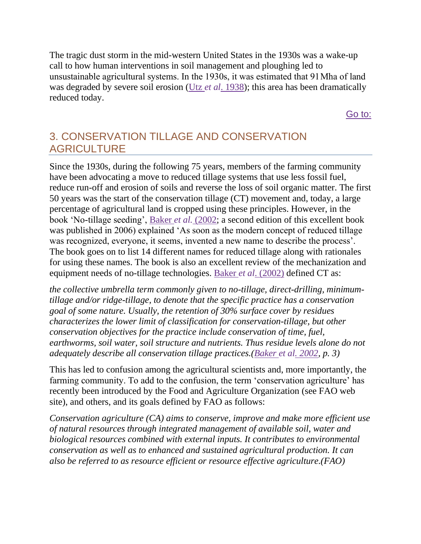The tragic dust storm in the mid-western United States in the 1930s was a wake-up call to how human interventions in soil management and ploughing led to unsustainable agricultural systems. In the 1930s, it was estimated that 91 Mha of land was degraded by severe soil erosion (Utz *et al*[. 1938\)](https://www.ncbi.nlm.nih.gov/pmc/articles/PMC2610169/#bib100); this area has been dramatically reduced today.

[Go to:](https://www.ncbi.nlm.nih.gov/pmc/articles/PMC2610169/)

## 3. CONSERVATION TILLAGE AND CONSERVATION **AGRICULTURE**

Since the 1930s, during the following 75 years, members of the farming community have been advocating a move to reduced tillage systems that use less fossil fuel, reduce run-off and erosion of soils and reverse the loss of soil organic matter. The first 50 years was the start of the conservation tillage (CT) movement and, today, a large percentage of agricultural land is cropped using these principles. However, in the book 'No-tillage seeding', Baker *et al.* [\(2002;](https://www.ncbi.nlm.nih.gov/pmc/articles/PMC2610169/#bib10) a second edition of this excellent book was published in 2006) explained 'As soon as the modern concept of reduced tillage was recognized, everyone, it seems, invented a new name to describe the process'. The book goes on to list 14 different names for reduced tillage along with rationales for using these names. The book is also an excellent review of the mechanization and equipment needs of no-tillage technologies. Baker *et al*[. \(2002\)](https://www.ncbi.nlm.nih.gov/pmc/articles/PMC2610169/#bib10) defined CT as:

*the collective umbrella term commonly given to no-tillage, direct-drilling, minimumtillage and/or ridge-tillage, to denote that the specific practice has a conservation goal of some nature. Usually, the retention of 30% surface cover by residues characterizes the lower limit of classification for conservation-tillage, but other conservation objectives for the practice include conservation of time, fuel, earthworms, soil water, soil structure and nutrients. Thus residue levels alone do not adequately describe all conservation tillage practices.(Baker [et al. 2002,](https://www.ncbi.nlm.nih.gov/pmc/articles/PMC2610169/#bib10) p. 3)*

This has led to confusion among the agricultural scientists and, more importantly, the farming community. To add to the confusion, the term 'conservation agriculture' has recently been introduced by the Food and Agriculture Organization (see FAO web site), and others, and its goals defined by FAO as follows:

*Conservation agriculture (CA) aims to conserve, improve and make more efficient use of natural resources through integrated management of available soil, water and biological resources combined with external inputs. It contributes to environmental conservation as well as to enhanced and sustained agricultural production. It can also be referred to as resource efficient or resource effective agriculture.(FAO)*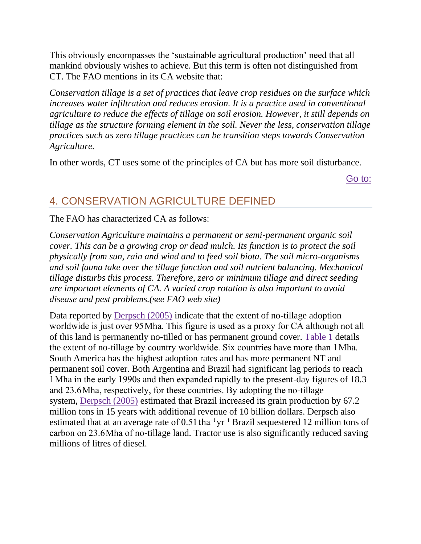This obviously encompasses the 'sustainable agricultural production' need that all mankind obviously wishes to achieve. But this term is often not distinguished from CT. The FAO mentions in its CA website that:

*Conservation tillage is a set of practices that leave crop residues on the surface which increases water infiltration and reduces erosion. It is a practice used in conventional agriculture to reduce the effects of tillage on soil erosion. However, it still depends on tillage as the structure forming element in the soil. Never the less, conservation tillage practices such as zero tillage practices can be transition steps towards Conservation Agriculture.*

In other words, CT uses some of the principles of CA but has more soil disturbance.

[Go to:](https://www.ncbi.nlm.nih.gov/pmc/articles/PMC2610169/)

## 4. CONSERVATION AGRICULTURE DEFINED

The FAO has characterized CA as follows:

*Conservation Agriculture maintains a permanent or semi-permanent organic soil cover. This can be a growing crop or dead mulch. Its function is to protect the soil physically from sun, rain and wind and to feed soil biota. The soil micro-organisms and soil fauna take over the tillage function and soil nutrient balancing. Mechanical tillage disturbs this process. Therefore, zero or minimum tillage and direct seeding are important elements of CA. A varied crop rotation is also important to avoid disease and pest problems.(see FAO web site)*

Data reported by [Derpsch \(2005\)](https://www.ncbi.nlm.nih.gov/pmc/articles/PMC2610169/#bib30) indicate that the extent of no-tillage adoption worldwide is just over 95 Mha. This figure is used as a proxy for CA although not all of this land is permanently no-tilled or has permanent ground cover. [Table 1](https://www.ncbi.nlm.nih.gov/pmc/articles/PMC2610169/table/tbl1/) details the extent of no-tillage by country worldwide. Six countries have more than 1 Mha. South America has the highest adoption rates and has more permanent NT and permanent soil cover. Both Argentina and Brazil had significant lag periods to reach 1 Mha in the early 1990s and then expanded rapidly to the present-day figures of 18.3 and 23.6 Mha, respectively, for these countries. By adopting the no-tillage system, [Derpsch \(2005\)](https://www.ncbi.nlm.nih.gov/pmc/articles/PMC2610169/#bib30) estimated that Brazil increased its grain production by 67.2 million tons in 15 years with additional revenue of 10 billion dollars. Derpsch also estimated that at an average rate of  $0.51$  tha<sup>-1</sup>yr<sup>-1</sup> Brazil sequestered 12 million tons of carbon on 23.6 Mha of no-tillage land. Tractor use is also significantly reduced saving millions of litres of diesel.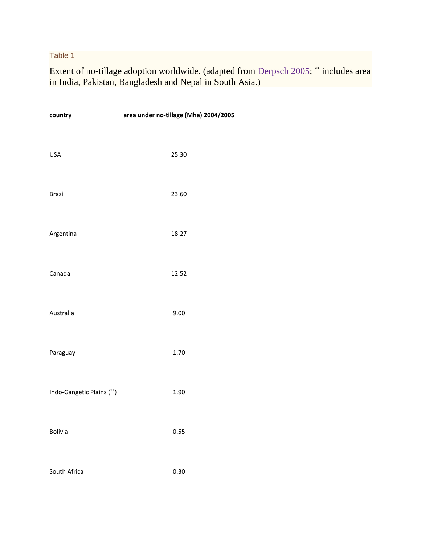### Table 1

Extent of no-tillage adoption worldwide. (adapted from [Derpsch 2005;](https://www.ncbi.nlm.nih.gov/pmc/articles/PMC2610169/#bib30) \*\* includes area in India, Pakistan, Bangladesh and Nepal in South Asia.)

| country                   | area under no-tillage (Mha) 2004/2005 |
|---------------------------|---------------------------------------|
| <b>USA</b>                | 25.30                                 |
| <b>Brazil</b>             | 23.60                                 |
| Argentina                 | 18.27                                 |
| Canada                    | 12.52                                 |
| Australia                 | 9.00                                  |
| Paraguay                  | 1.70                                  |
| Indo-Gangetic Plains (**) | 1.90                                  |
| <b>Bolivia</b>            | 0.55                                  |
| South Africa              | 0.30                                  |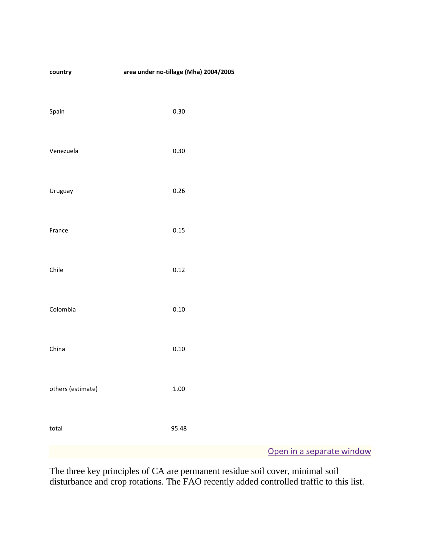| country           | area under no-tillage (Mha) 2004/2005 |                           |
|-------------------|---------------------------------------|---------------------------|
| Spain             | $0.30\,$                              |                           |
| Venezuela         | 0.30                                  |                           |
| Uruguay           | $0.26\,$                              |                           |
| France            | 0.15                                  |                           |
| Chile             | 0.12                                  |                           |
| Colombia          | $0.10\,$                              |                           |
| China             | $0.10\,$                              |                           |
| others (estimate) | $1.00\,$                              |                           |
| total             | 95.48                                 |                           |
|                   |                                       | Open in a separate window |

The three key principles of CA are permanent residue soil cover, minimal soil disturbance and crop rotations. The FAO recently added controlled traffic to this list.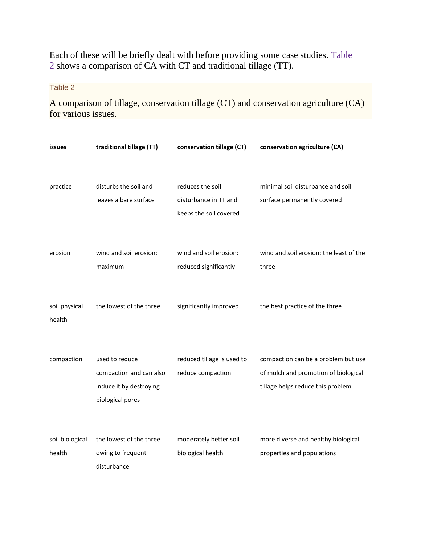Each of these will be briefly dealt with before providing some case studies. [Table](https://www.ncbi.nlm.nih.gov/pmc/articles/PMC2610169/table/tbl2/)  [2](https://www.ncbi.nlm.nih.gov/pmc/articles/PMC2610169/table/tbl2/) shows a comparison of CA with CT and traditional tillage (TT).

Table 2

A comparison of tillage, conservation tillage (CT) and conservation agriculture (CA) for various issues.

| issues          | traditional tillage (TT) | conservation tillage (CT)  | conservation agriculture (CA)           |
|-----------------|--------------------------|----------------------------|-----------------------------------------|
|                 |                          |                            |                                         |
| practice        | disturbs the soil and    | reduces the soil           | minimal soil disturbance and soil       |
|                 | leaves a bare surface    | disturbance in TT and      | surface permanently covered             |
|                 |                          | keeps the soil covered     |                                         |
|                 |                          |                            |                                         |
| erosion         | wind and soil erosion:   | wind and soil erosion:     | wind and soil erosion: the least of the |
|                 | maximum                  | reduced significantly      | three                                   |
|                 |                          |                            |                                         |
| soil physical   | the lowest of the three  | significantly improved     | the best practice of the three          |
| health          |                          |                            |                                         |
|                 |                          |                            |                                         |
| compaction      | used to reduce           | reduced tillage is used to | compaction can be a problem but use     |
|                 | compaction and can also  | reduce compaction          | of mulch and promotion of biological    |
|                 | induce it by destroying  |                            | tillage helps reduce this problem       |
|                 | biological pores         |                            |                                         |
|                 |                          |                            |                                         |
| soil biological | the lowest of the three  | moderately better soil     | more diverse and healthy biological     |
| health          | owing to frequent        | biological health          | properties and populations              |
|                 | disturbance              |                            |                                         |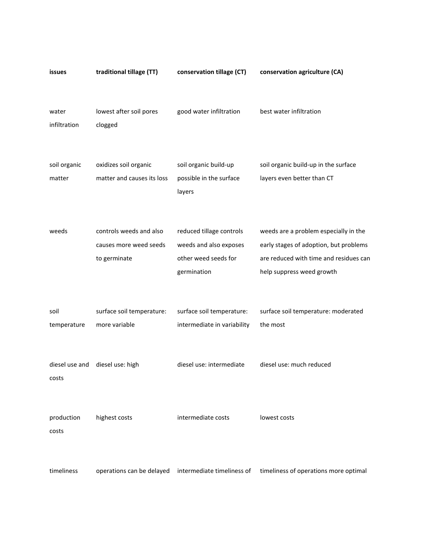| issues         | traditional tillage (TT)   | conservation tillage (CT)   | conservation agriculture (CA)          |
|----------------|----------------------------|-----------------------------|----------------------------------------|
|                |                            |                             |                                        |
| water          | lowest after soil pores    | good water infiltration     | best water infiltration                |
| infiltration   | clogged                    |                             |                                        |
|                |                            |                             |                                        |
| soil organic   | oxidizes soil organic      | soil organic build-up       | soil organic build-up in the surface   |
| matter         | matter and causes its loss | possible in the surface     | layers even better than CT             |
|                |                            | layers                      |                                        |
|                |                            |                             |                                        |
| weeds          | controls weeds and also    | reduced tillage controls    | weeds are a problem especially in the  |
|                | causes more weed seeds     | weeds and also exposes      | early stages of adoption, but problems |
|                | to germinate               | other weed seeds for        | are reduced with time and residues can |
|                |                            | germination                 | help suppress weed growth              |
|                |                            |                             |                                        |
| soil           | surface soil temperature:  | surface soil temperature:   | surface soil temperature: moderated    |
| temperature    | more variable              | intermediate in variability | the most                               |
|                |                            |                             |                                        |
|                |                            |                             |                                        |
| diesel use and | diesel use: high           | diesel use: intermediate    | diesel use: much reduced               |
| costs          |                            |                             |                                        |
|                |                            |                             |                                        |
| production     | highest costs              | intermediate costs          | lowest costs                           |
| costs          |                            |                             |                                        |
|                |                            |                             |                                        |
| timeliness     | operations can be delayed  | intermediate timeliness of  | timeliness of operations more optimal  |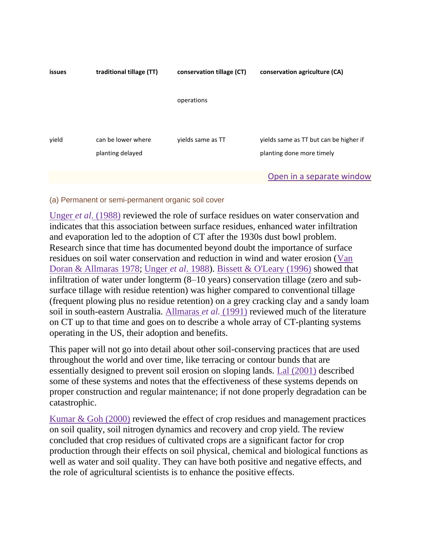

### (a) Permanent or semi-permanent organic soil cover

Unger *et al*[. \(1988\)](https://www.ncbi.nlm.nih.gov/pmc/articles/PMC2610169/#bib99) reviewed the role of surface residues on water conservation and indicates that this association between surface residues, enhanced water infiltration and evaporation led to the adoption of CT after the 1930s dust bowl problem. Research since that time has documented beyond doubt the importance of surface residues on soil water conservation and reduction in wind and water erosion [\(Van](https://www.ncbi.nlm.nih.gov/pmc/articles/PMC2610169/#bib102)  [Doran & Allmaras 1978;](https://www.ncbi.nlm.nih.gov/pmc/articles/PMC2610169/#bib102) Unger *et al*[. 1988\)](https://www.ncbi.nlm.nih.gov/pmc/articles/PMC2610169/#bib99). [Bissett & O'Leary \(1996\)](https://www.ncbi.nlm.nih.gov/pmc/articles/PMC2610169/#bib15) showed that infiltration of water under longterm (8–10 years) conservation tillage (zero and subsurface tillage with residue retention) was higher compared to conventional tillage (frequent plowing plus no residue retention) on a grey cracking clay and a sandy loam soil in south-eastern Australia. [Allmaras](https://www.ncbi.nlm.nih.gov/pmc/articles/PMC2610169/#bib2) *et al.* (1991) reviewed much of the literature on CT up to that time and goes on to describe a whole array of CT-planting systems operating in the US, their adoption and benefits.

This paper will not go into detail about other soil-conserving practices that are used throughout the world and over time, like terracing or contour bunds that are essentially designed to prevent soil erosion on sloping lands. [Lal \(2001\)](https://www.ncbi.nlm.nih.gov/pmc/articles/PMC2610169/#bib64) described some of these systems and notes that the effectiveness of these systems depends on proper construction and regular maintenance; if not done properly degradation can be catastrophic.

[Kumar & Goh \(2000\)](https://www.ncbi.nlm.nih.gov/pmc/articles/PMC2610169/#bib62) reviewed the effect of crop residues and management practices on soil quality, soil nitrogen dynamics and recovery and crop yield. The review concluded that crop residues of cultivated crops are a significant factor for crop production through their effects on soil physical, chemical and biological functions as well as water and soil quality. They can have both positive and negative effects, and the role of agricultural scientists is to enhance the positive effects.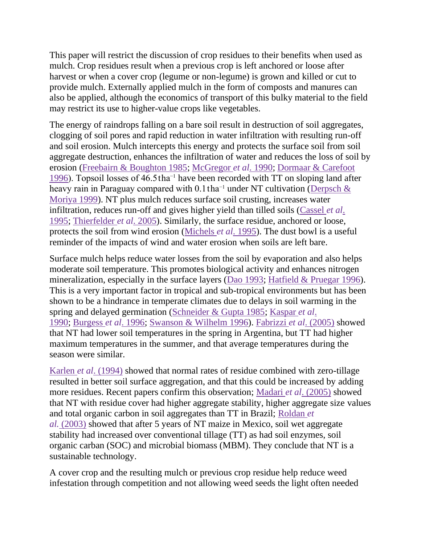This paper will restrict the discussion of crop residues to their benefits when used as mulch. Crop residues result when a previous crop is left anchored or loose after harvest or when a cover crop (legume or non-legume) is grown and killed or cut to provide mulch. Externally applied mulch in the form of composts and manures can also be applied, although the economics of transport of this bulky material to the field may restrict its use to higher-value crops like vegetables.

The energy of raindrops falling on a bare soil result in destruction of soil aggregates, clogging of soil pores and rapid reduction in water infiltration with resulting run-off and soil erosion. Mulch intercepts this energy and protects the surface soil from soil aggregate destruction, enhances the infiltration of water and reduces the loss of soil by erosion [\(Freebairn & Boughton 1985;](https://www.ncbi.nlm.nih.gov/pmc/articles/PMC2610169/#bib39) [McGregor](https://www.ncbi.nlm.nih.gov/pmc/articles/PMC2610169/#bib73) *et al*. 1990; [Dormaar & Carefoot](https://www.ncbi.nlm.nih.gov/pmc/articles/PMC2610169/#bib32)  [1996\)](https://www.ncbi.nlm.nih.gov/pmc/articles/PMC2610169/#bib32). Topsoil losses of 46.5 t ha−1 have been recorded with TT on sloping land after heavy rain in Paraguay compared with  $0.1$  tha<sup>-1</sup> under NT cultivation (Derpsch & [Moriya 1999\)](https://www.ncbi.nlm.nih.gov/pmc/articles/PMC2610169/#bib29). NT plus mulch reduces surface soil crusting, increases water infiltration, reduces run-off and gives higher yield than tilled soils [\(Cassel](https://www.ncbi.nlm.nih.gov/pmc/articles/PMC2610169/#bib23) *et al*. [1995;](https://www.ncbi.nlm.nih.gov/pmc/articles/PMC2610169/#bib23) [Thierfelder](https://www.ncbi.nlm.nih.gov/pmc/articles/PMC2610169/#bib96) *et al*. 2005). Similarly, the surface residue, anchored or loose, protects the soil from wind erosion [\(Michels](https://www.ncbi.nlm.nih.gov/pmc/articles/PMC2610169/#bib74) *et al*. 1995). The dust bowl is a useful reminder of the impacts of wind and water erosion when soils are left bare.

Surface mulch helps reduce water losses from the soil by evaporation and also helps moderate soil temperature. This promotes biological activity and enhances nitrogen mineralization, especially in the surface layers [\(Dao 1993;](https://www.ncbi.nlm.nih.gov/pmc/articles/PMC2610169/#bib27) [Hatfield & Pruegar 1996\)](https://www.ncbi.nlm.nih.gov/pmc/articles/PMC2610169/#bib45). This is a very important factor in tropical and sub-tropical environments but has been shown to be a hindrance in temperate climates due to delays in soil warming in the spring and delayed germination [\(Schneider & Gupta 1985;](https://www.ncbi.nlm.nih.gov/pmc/articles/PMC2610169/#bib88) [Kaspar](https://www.ncbi.nlm.nih.gov/pmc/articles/PMC2610169/#bib58) *et al*. [1990;](https://www.ncbi.nlm.nih.gov/pmc/articles/PMC2610169/#bib58) [Burgess](https://www.ncbi.nlm.nih.gov/pmc/articles/PMC2610169/#bib18) *et al*. 1996; [Swanson & Wilhelm 1996\)](https://www.ncbi.nlm.nih.gov/pmc/articles/PMC2610169/#bib95). [Fabrizzi](https://www.ncbi.nlm.nih.gov/pmc/articles/PMC2610169/#bib35) *et al*. (2005) showed that NT had lower soil temperatures in the spring in Argentina, but TT had higher maximum temperatures in the summer, and that average temperatures during the season were similar.

Karlen *et al*[. \(1994\)](https://www.ncbi.nlm.nih.gov/pmc/articles/PMC2610169/#bib57) showed that normal rates of residue combined with zero-tillage resulted in better soil surface aggregation, and that this could be increased by adding more residues. Recent papers confirm this observation; Madari *et al*[. \(2005\)](https://www.ncbi.nlm.nih.gov/pmc/articles/PMC2610169/#bib70) showed that NT with residue cover had higher aggregate stability, higher aggregate size values and total organic carbon in soil aggregates than TT in Brazil; [Roldan](https://www.ncbi.nlm.nih.gov/pmc/articles/PMC2610169/#bib85) *et al.* [\(2003\)](https://www.ncbi.nlm.nih.gov/pmc/articles/PMC2610169/#bib85) showed that after 5 years of NT maize in Mexico, soil wet aggregate stability had increased over conventional tillage (TT) as had soil enzymes, soil organic carban (SOC) and microbial biomass (MBM). They conclude that NT is a sustainable technology.

A cover crop and the resulting mulch or previous crop residue help reduce weed infestation through competition and not allowing weed seeds the light often needed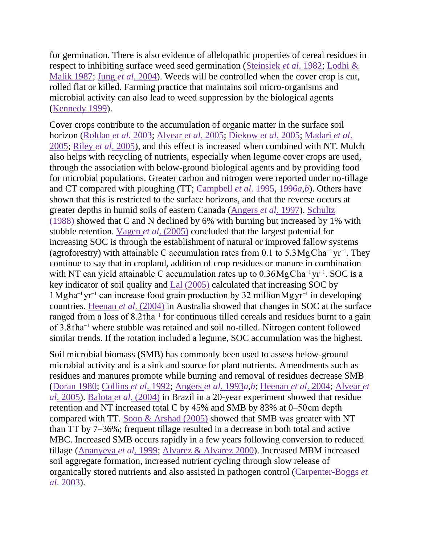for germination. There is also evidence of allelopathic properties of cereal residues in respect to inhibiting surface weed seed germination [\(Steinsiek](https://www.ncbi.nlm.nih.gov/pmc/articles/PMC2610169/#bib92) *et al*. 1982; [Lodhi &](https://www.ncbi.nlm.nih.gov/pmc/articles/PMC2610169/#bib68)  [Malik 1987;](https://www.ncbi.nlm.nih.gov/pmc/articles/PMC2610169/#bib68) Jung *et al*[. 2004\)](https://www.ncbi.nlm.nih.gov/pmc/articles/PMC2610169/#bib56). Weeds will be controlled when the cover crop is cut, rolled flat or killed. Farming practice that maintains soil micro-organisms and microbial activity can also lead to weed suppression by the biological agents [\(Kennedy 1999\)](https://www.ncbi.nlm.nih.gov/pmc/articles/PMC2610169/#bib61).

Cover crops contribute to the accumulation of organic matter in the surface soil horizon [\(Roldan](https://www.ncbi.nlm.nih.gov/pmc/articles/PMC2610169/#bib85) *et al.* 2003; [Alvear](https://www.ncbi.nlm.nih.gov/pmc/articles/PMC2610169/#bib4) *et al*. 2005; [Diekow](https://www.ncbi.nlm.nih.gov/pmc/articles/PMC2610169/#bib31) *et al*. 2005; [Madari](https://www.ncbi.nlm.nih.gov/pmc/articles/PMC2610169/#bib70) *et al*. [2005;](https://www.ncbi.nlm.nih.gov/pmc/articles/PMC2610169/#bib70) Riley *et al*[. 2005\)](https://www.ncbi.nlm.nih.gov/pmc/articles/PMC2610169/#bib84), and this effect is increased when combined with NT. Mulch also helps with recycling of nutrients, especially when legume cover crops are used, through the association with below-ground biological agents and by providing food for microbial populations. Greater carbon and nitrogen were reported under no-tillage and CT compared with ploughing (TT; [Campbell](https://www.ncbi.nlm.nih.gov/pmc/articles/PMC2610169/#bib19) *et al*. 1995, [1996](https://www.ncbi.nlm.nih.gov/pmc/articles/PMC2610169/#bib20)*a*,*[b](https://www.ncbi.nlm.nih.gov/pmc/articles/PMC2610169/#bib21)*). Others have shown that this is restricted to the surface horizons, and that the reverse occurs at greater depths in humid soils of eastern Canada [\(Angers](https://www.ncbi.nlm.nih.gov/pmc/articles/PMC2610169/#bib8) *et al*. 1997). [Schultz](https://www.ncbi.nlm.nih.gov/pmc/articles/PMC2610169/#bib88a)  [\(1988\)](https://www.ncbi.nlm.nih.gov/pmc/articles/PMC2610169/#bib88a) showed that C and N declined by 6% with burning but increased by 1% with stubble retention. Vagen *et al*[. \(2005\)](https://www.ncbi.nlm.nih.gov/pmc/articles/PMC2610169/#bib101) concluded that the largest potential for increasing SOC is through the establishment of natural or improved fallow systems (agroforestry) with attainable C accumulation rates from 0.1 to  $5.3\text{Mg} \text{C} \text{ha}^{-1} \text{yr}^{-1}$ . They continue to say that in cropland, addition of crop residues or manure in combination with NT can yield attainable C accumulation rates up to  $0.36$ MgCha<sup>-1</sup> $yr^{-1}$ . SOC is a key indicator of soil quality and [Lal \(2005\)](https://www.ncbi.nlm.nih.gov/pmc/articles/PMC2610169/#bib65) calculated that increasing SOC by 1 Mg ha−1 yr−1 can increase food grain production by 32 million Mg yr−1 in developing countries. Heenan *et al*[. \(2004\)](https://www.ncbi.nlm.nih.gov/pmc/articles/PMC2610169/#bib46) in Australia showed that changes in SOC at the surface ranged from a loss of 8.2tha<sup>−1</sup> for continuous tilled cereals and residues burnt to a gain of 3.8 t ha−1 where stubble was retained and soil no-tilled. Nitrogen content followed similar trends. If the rotation included a legume, SOC accumulation was the highest.

Soil microbial biomass (SMB) has commonly been used to assess below-ground microbial activity and is a sink and source for plant nutrients. Amendments such as residues and manures promote while burning and removal of residues decrease SMB [\(Doran 1980;](https://www.ncbi.nlm.nih.gov/pmc/articles/PMC2610169/#bib32a) [Collins](https://www.ncbi.nlm.nih.gov/pmc/articles/PMC2610169/#bib26) *et al*. 1992; [Angers](https://www.ncbi.nlm.nih.gov/pmc/articles/PMC2610169/#bib6) *et al*. 1993*a*,*[b](https://www.ncbi.nlm.nih.gov/pmc/articles/PMC2610169/#bib7)*; [Heenan](https://www.ncbi.nlm.nih.gov/pmc/articles/PMC2610169/#bib46) *et al*. 2004; [Alvear](https://www.ncbi.nlm.nih.gov/pmc/articles/PMC2610169/#bib4) *et al*[. 2005\)](https://www.ncbi.nlm.nih.gov/pmc/articles/PMC2610169/#bib4). Balota *et al*[. \(2004\)](https://www.ncbi.nlm.nih.gov/pmc/articles/PMC2610169/#bib11) in Brazil in a 20-year experiment showed that residue retention and NT increased total C by 45% and SMB by 83% at 0–50 cm depth compared with TT. [Soon & Arshad \(2005\)](https://www.ncbi.nlm.nih.gov/pmc/articles/PMC2610169/#bib91) showed that SMB was greater with NT than TT by 7–36%; frequent tillage resulted in a decrease in both total and active MBC. Increased SMB occurs rapidly in a few years following conversion to reduced tillage [\(Ananyeva](https://www.ncbi.nlm.nih.gov/pmc/articles/PMC2610169/#bib5) *et al*. 1999; [Alvarez & Alvarez 2000\)](https://www.ncbi.nlm.nih.gov/pmc/articles/PMC2610169/#bib3). Increased MBM increased soil aggregate formation, increased nutrient cycling through slow release of organically stored nutrients and also assisted in pathogen control [\(Carpenter-Boggs](https://www.ncbi.nlm.nih.gov/pmc/articles/PMC2610169/#bib22) *et al*[. 2003\)](https://www.ncbi.nlm.nih.gov/pmc/articles/PMC2610169/#bib22).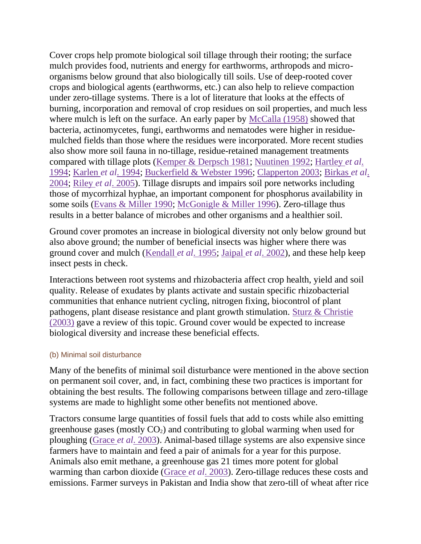Cover crops help promote biological soil tillage through their rooting; the surface mulch provides food, nutrients and energy for earthworms, arthropods and microorganisms below ground that also biologically till soils. Use of deep-rooted cover crops and biological agents (earthworms, etc.) can also help to relieve compaction under zero-tillage systems. There is a lot of literature that looks at the effects of burning, incorporation and removal of crop residues on soil properties, and much less where mulch is left on the surface. An early paper by [McCalla \(1958\)](https://www.ncbi.nlm.nih.gov/pmc/articles/PMC2610169/#bib71) showed that bacteria, actinomycetes, fungi, earthworms and nematodes were higher in residuemulched fields than those where the residues were incorporated. More recent studies also show more soil fauna in no-tillage, residue-retained management treatments compared with tillage plots [\(Kemper & Derpsch 1981;](https://www.ncbi.nlm.nih.gov/pmc/articles/PMC2610169/#bib59) [Nuutinen 1992;](https://www.ncbi.nlm.nih.gov/pmc/articles/PMC2610169/#bib76) [Hartley](https://www.ncbi.nlm.nih.gov/pmc/articles/PMC2610169/#bib44) *et al*. [1994;](https://www.ncbi.nlm.nih.gov/pmc/articles/PMC2610169/#bib44) [Karlen](https://www.ncbi.nlm.nih.gov/pmc/articles/PMC2610169/#bib57) *et al*. 1994; [Buckerfield & Webster 1996;](https://www.ncbi.nlm.nih.gov/pmc/articles/PMC2610169/#bib17) [Clapperton 2003;](https://www.ncbi.nlm.nih.gov/pmc/articles/PMC2610169/#bib25) [Birkas](https://www.ncbi.nlm.nih.gov/pmc/articles/PMC2610169/#bib14) *et al*. [2004;](https://www.ncbi.nlm.nih.gov/pmc/articles/PMC2610169/#bib14) Riley *et al*[. 2005\)](https://www.ncbi.nlm.nih.gov/pmc/articles/PMC2610169/#bib84). Tillage disrupts and impairs soil pore networks including those of mycorrhizal hyphae, an important component for phosphorus availability in some soils [\(Evans & Miller 1990;](https://www.ncbi.nlm.nih.gov/pmc/articles/PMC2610169/#bib34) [McGonigle & Miller 1996\)](https://www.ncbi.nlm.nih.gov/pmc/articles/PMC2610169/#bib72). Zero-tillage thus results in a better balance of microbes and other organisms and a healthier soil.

Ground cover promotes an increase in biological diversity not only below ground but also above ground; the number of beneficial insects was higher where there was ground cover and mulch [\(Kendall](https://www.ncbi.nlm.nih.gov/pmc/articles/PMC2610169/#bib60) *et al*. 1995; Jaipal *et al*[. 2002\)](https://www.ncbi.nlm.nih.gov/pmc/articles/PMC2610169/#bib55), and these help keep insect pests in check.

Interactions between root systems and rhizobacteria affect crop health, yield and soil quality. Release of exudates by plants activate and sustain specific rhizobacterial communities that enhance nutrient cycling, nitrogen fixing, biocontrol of plant pathogens, plant disease resistance and plant growth stimulation. [Sturz & Christie](https://www.ncbi.nlm.nih.gov/pmc/articles/PMC2610169/#bib94)  [\(2003\)](https://www.ncbi.nlm.nih.gov/pmc/articles/PMC2610169/#bib94) gave a review of this topic. Ground cover would be expected to increase biological diversity and increase these beneficial effects.

#### (b) Minimal soil disturbance

Many of the benefits of minimal soil disturbance were mentioned in the above section on permanent soil cover, and, in fact, combining these two practices is important for obtaining the best results. The following comparisons between tillage and zero-tillage systems are made to highlight some other benefits not mentioned above.

Tractors consume large quantities of fossil fuels that add to costs while also emitting greenhouse gases (mostly  $CO<sub>2</sub>$ ) and contributing to global warming when used for ploughing (Grace *et al*[. 2003\)](https://www.ncbi.nlm.nih.gov/pmc/articles/PMC2610169/#bib43). Animal-based tillage systems are also expensive since farmers have to maintain and feed a pair of animals for a year for this purpose. Animals also emit methane, a greenhouse gas 21 times more potent for global warming than carbon dioxide (Grace *et al*[. 2003\)](https://www.ncbi.nlm.nih.gov/pmc/articles/PMC2610169/#bib43). Zero-tillage reduces these costs and emissions. Farmer surveys in Pakistan and India show that zero-till of wheat after rice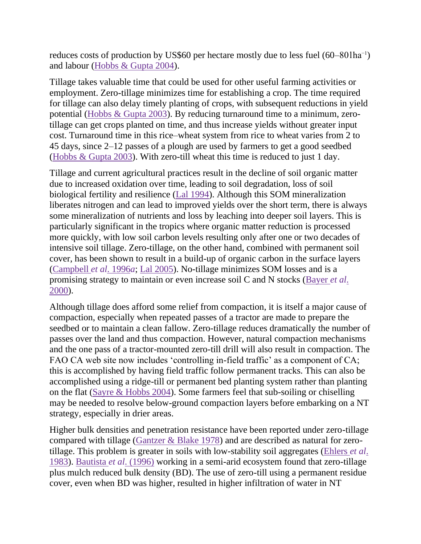reduces costs of production by US\$60 per hectare mostly due to less fuel  $(60–801ha<sup>-1</sup>)$ and labour [\(Hobbs & Gupta 2004\)](https://www.ncbi.nlm.nih.gov/pmc/articles/PMC2610169/#bib52).

Tillage takes valuable time that could be used for other useful farming activities or employment. Zero-tillage minimizes time for establishing a crop. The time required for tillage can also delay timely planting of crops, with subsequent reductions in yield potential [\(Hobbs & Gupta 2003\)](https://www.ncbi.nlm.nih.gov/pmc/articles/PMC2610169/#bib51). By reducing turnaround time to a minimum, zerotillage can get crops planted on time, and thus increase yields without greater input cost. Turnaround time in this rice–wheat system from rice to wheat varies from 2 to 45 days, since 2–12 passes of a plough are used by farmers to get a good seedbed [\(Hobbs & Gupta 2003\)](https://www.ncbi.nlm.nih.gov/pmc/articles/PMC2610169/#bib51). With zero-till wheat this time is reduced to just 1 day.

Tillage and current agricultural practices result in the decline of soil organic matter due to increased oxidation over time, leading to soil degradation, loss of soil biological fertility and resilience [\(Lal 1994\)](https://www.ncbi.nlm.nih.gov/pmc/articles/PMC2610169/#bib63). Although this SOM mineralization liberates nitrogen and can lead to improved yields over the short term, there is always some mineralization of nutrients and loss by leaching into deeper soil layers. This is particularly significant in the tropics where organic matter reduction is processed more quickly, with low soil carbon levels resulting only after one or two decades of intensive soil tillage. Zero-tillage, on the other hand, combined with permanent soil cover, has been shown to result in a build-up of organic carbon in the surface layers [\(Campbell](https://www.ncbi.nlm.nih.gov/pmc/articles/PMC2610169/#bib20) *et al*. 1996*a*; [Lal 2005\)](https://www.ncbi.nlm.nih.gov/pmc/articles/PMC2610169/#bib65). No-tillage minimizes SOM losses and is a promising strategy to maintain or even increase soil C and N stocks [\(Bayer](https://www.ncbi.nlm.nih.gov/pmc/articles/PMC2610169/#bib13) *et al*. [2000\)](https://www.ncbi.nlm.nih.gov/pmc/articles/PMC2610169/#bib13).

Although tillage does afford some relief from compaction, it is itself a major cause of compaction, especially when repeated passes of a tractor are made to prepare the seedbed or to maintain a clean fallow. Zero-tillage reduces dramatically the number of passes over the land and thus compaction. However, natural compaction mechanisms and the one pass of a tractor-mounted zero-till drill will also result in compaction. The FAO CA web site now includes 'controlling in-field traffic' as a component of CA; this is accomplished by having field traffic follow permanent tracks. This can also be accomplished using a ridge-till or permanent bed planting system rather than planting on the flat [\(Sayre & Hobbs 2004\)](https://www.ncbi.nlm.nih.gov/pmc/articles/PMC2610169/#bib87). Some farmers feel that sub-soiling or chiselling may be needed to resolve below-ground compaction layers before embarking on a NT strategy, especially in drier areas.

Higher bulk densities and penetration resistance have been reported under zero-tillage compared with tillage [\(Gantzer & Blake 1978\)](https://www.ncbi.nlm.nih.gov/pmc/articles/PMC2610169/#bib40) and are described as natural for zerotillage. This problem is greater in soils with low-stability soil aggregates [\(Ehlers](https://www.ncbi.nlm.nih.gov/pmc/articles/PMC2610169/#bib33) *et al*. [1983\)](https://www.ncbi.nlm.nih.gov/pmc/articles/PMC2610169/#bib33). [Bautista](https://www.ncbi.nlm.nih.gov/pmc/articles/PMC2610169/#bib12) *et al*. (1996) working in a semi-arid ecosystem found that zero-tillage plus mulch reduced bulk density (BD). The use of zero-till using a permanent residue cover, even when BD was higher, resulted in higher infiltration of water in NT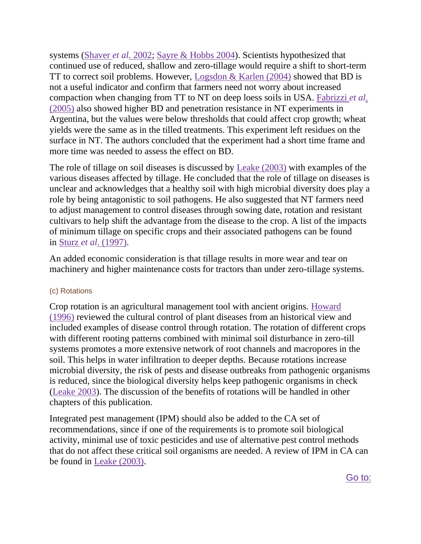systems [\(Shaver](https://www.ncbi.nlm.nih.gov/pmc/articles/PMC2610169/#bib89) *et al*. 2002; [Sayre & Hobbs 2004\)](https://www.ncbi.nlm.nih.gov/pmc/articles/PMC2610169/#bib87). Scientists hypothesized that continued use of reduced, shallow and zero-tillage would require a shift to short-term TT to correct soil problems. However,  $Logsdon & Karlen (2004)$  showed that BD is not a useful indicator and confirm that farmers need not worry about increased compaction when changing from TT to NT on deep loess soils in USA. [Fabrizzi](https://www.ncbi.nlm.nih.gov/pmc/articles/PMC2610169/#bib35) *et al*. [\(2005\)](https://www.ncbi.nlm.nih.gov/pmc/articles/PMC2610169/#bib35) also showed higher BD and penetration resistance in NT experiments in Argentina, but the values were below thresholds that could affect crop growth; wheat yields were the same as in the tilled treatments. This experiment left residues on the surface in NT. The authors concluded that the experiment had a short time frame and more time was needed to assess the effect on BD.

The role of tillage on soil diseases is discussed by [Leake \(2003\)](https://www.ncbi.nlm.nih.gov/pmc/articles/PMC2610169/#bib66) with examples of the various diseases affected by tillage. He concluded that the role of tillage on diseases is unclear and acknowledges that a healthy soil with high microbial diversity does play a role by being antagonistic to soil pathogens. He also suggested that NT farmers need to adjust management to control diseases through sowing date, rotation and resistant cultivars to help shift the advantage from the disease to the crop. A list of the impacts of minimum tillage on specific crops and their associated pathogens can be found in Sturz *et al*[. \(1997\).](https://www.ncbi.nlm.nih.gov/pmc/articles/PMC2610169/#bib93)

An added economic consideration is that tillage results in more wear and tear on machinery and higher maintenance costs for tractors than under zero-tillage systems.

### (c) Rotations

Crop rotation is an agricultural management tool with ancient origins. [Howard](https://www.ncbi.nlm.nih.gov/pmc/articles/PMC2610169/#bib53)  [\(1996\)](https://www.ncbi.nlm.nih.gov/pmc/articles/PMC2610169/#bib53) reviewed the cultural control of plant diseases from an historical view and included examples of disease control through rotation. The rotation of different crops with different rooting patterns combined with minimal soil disturbance in zero-till systems promotes a more extensive network of root channels and macropores in the soil. This helps in water infiltration to deeper depths. Because rotations increase microbial diversity, the risk of pests and disease outbreaks from pathogenic organisms is reduced, since the biological diversity helps keep pathogenic organisms in check [\(Leake 2003\)](https://www.ncbi.nlm.nih.gov/pmc/articles/PMC2610169/#bib66). The discussion of the benefits of rotations will be handled in other chapters of this publication.

Integrated pest management (IPM) should also be added to the CA set of recommendations, since if one of the requirements is to promote soil biological activity, minimal use of toxic pesticides and use of alternative pest control methods that do not affect these critical soil organisms are needed. A review of IPM in CA can be found in [Leake \(2003\).](https://www.ncbi.nlm.nih.gov/pmc/articles/PMC2610169/#bib66)

[Go to:](https://www.ncbi.nlm.nih.gov/pmc/articles/PMC2610169/)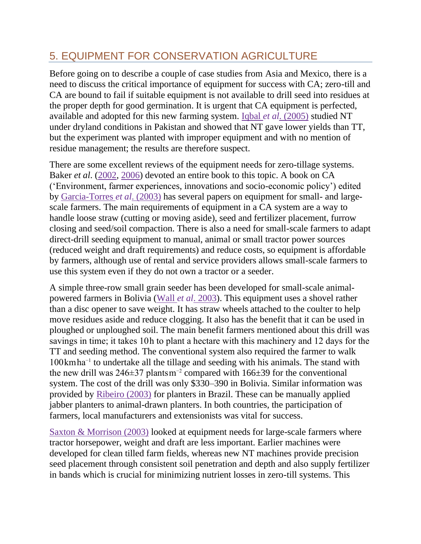# 5. EQUIPMENT FOR CONSERVATION AGRICULTURE

Before going on to describe a couple of case studies from Asia and Mexico, there is a need to discuss the critical importance of equipment for success with CA; zero-till and CA are bound to fail if suitable equipment is not available to drill seed into residues at the proper depth for good germination. It is urgent that CA equipment is perfected, available and adopted for this new farming system. Iqbal *et al*[. \(2005\)](https://www.ncbi.nlm.nih.gov/pmc/articles/PMC2610169/#bib54) studied NT under dryland conditions in Pakistan and showed that NT gave lower yields than TT, but the experiment was planted with improper equipment and with no mention of residue management; the results are therefore suspect.

There are some excellent reviews of the equipment needs for zero-tillage systems. Baker *et al*. [\(2002,](https://www.ncbi.nlm.nih.gov/pmc/articles/PMC2610169/#bib10) [2006\)](https://www.ncbi.nlm.nih.gov/pmc/articles/PMC2610169/#bib11a) devoted an entire book to this topic. A book on CA ('Environment, farmer experiences, innovations and socio-economic policy') edited by [Garcia-Torres](https://www.ncbi.nlm.nih.gov/pmc/articles/PMC2610169/#bib41) *et al*. (2003) has several papers on equipment for small- and largescale farmers. The main requirements of equipment in a CA system are a way to handle loose straw (cutting or moving aside), seed and fertilizer placement, furrow closing and seed/soil compaction. There is also a need for small-scale farmers to adapt direct-drill seeding equipment to manual, animal or small tractor power sources (reduced weight and draft requirements) and reduce costs, so equipment is affordable by farmers, although use of rental and service providers allows small-scale farmers to use this system even if they do not own a tractor or a seeder.

A simple three-row small grain seeder has been developed for small-scale animalpowered farmers in Bolivia (Wall *et al*[. 2003\)](https://www.ncbi.nlm.nih.gov/pmc/articles/PMC2610169/#bib103). This equipment uses a shovel rather than a disc opener to save weight. It has straw wheels attached to the coulter to help move residues aside and reduce clogging. It also has the benefit that it can be used in ploughed or unploughed soil. The main benefit farmers mentioned about this drill was savings in time; it takes 10h to plant a hectare with this machinery and 12 days for the TT and seeding method. The conventional system also required the farmer to walk 100 km ha−1 to undertake all the tillage and seeding with his animals. The stand with the new drill was  $246\pm37$  plantsm<sup>-2</sup> compared with  $166\pm39$  for the conventional system. The cost of the drill was only \$330–390 in Bolivia. Similar information was provided by [Ribeiro \(2003\)](https://www.ncbi.nlm.nih.gov/pmc/articles/PMC2610169/#bib80) for planters in Brazil. These can be manually applied jabber planters to animal-drawn planters. In both countries, the participation of farmers, local manufacturers and extensionists was vital for success.

[Saxton & Morrison \(2003\)](https://www.ncbi.nlm.nih.gov/pmc/articles/PMC2610169/#bib86) looked at equipment needs for large-scale farmers where tractor horsepower, weight and draft are less important. Earlier machines were developed for clean tilled farm fields, whereas new NT machines provide precision seed placement through consistent soil penetration and depth and also supply fertilizer in bands which is crucial for minimizing nutrient losses in zero-till systems. This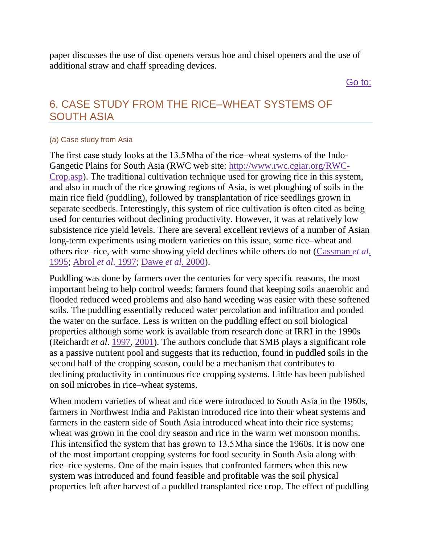paper discusses the use of disc openers versus hoe and chisel openers and the use of additional straw and chaff spreading devices.

### [Go to:](https://www.ncbi.nlm.nih.gov/pmc/articles/PMC2610169/)

## 6. CASE STUDY FROM THE RICE–WHEAT SYSTEMS OF SOUTH ASIA

### (a) Case study from Asia

The first case study looks at the 13.5 Mha of the rice–wheat systems of the Indo-Gangetic Plains for South Asia (RWC web site: [http://www.rwc.cgiar.org/RWC-](http://www.rwc.cgiar.org/RWC-Crop.asp)[Crop.asp\)](http://www.rwc.cgiar.org/RWC-Crop.asp). The traditional cultivation technique used for growing rice in this system, and also in much of the rice growing regions of Asia, is wet ploughing of soils in the main rice field (puddling), followed by transplantation of rice seedlings grown in separate seedbeds. Interestingly, this system of rice cultivation is often cited as being used for centuries without declining productivity. However, it was at relatively low subsistence rice yield levels. There are several excellent reviews of a number of Asian long-term experiments using modern varieties on this issue, some rice–wheat and others rice–rice, with some showing yield declines while others do not [\(Cassman](https://www.ncbi.nlm.nih.gov/pmc/articles/PMC2610169/#bib24) *et al*. [1995;](https://www.ncbi.nlm.nih.gov/pmc/articles/PMC2610169/#bib24) [Abrol](https://www.ncbi.nlm.nih.gov/pmc/articles/PMC2610169/#bib1) *et al.* 1997; Dawe *et al*[. 2000\)](https://www.ncbi.nlm.nih.gov/pmc/articles/PMC2610169/#bib28).

Puddling was done by farmers over the centuries for very specific reasons, the most important being to help control weeds; farmers found that keeping soils anaerobic and flooded reduced weed problems and also hand weeding was easier with these softened soils. The puddling essentially reduced water percolation and infiltration and ponded the water on the surface. Less is written on the puddling effect on soil biological properties although some work is available from research done at IRRI in the 1990s (Reichardt *et al*. [1997,](https://www.ncbi.nlm.nih.gov/pmc/articles/PMC2610169/#bib78) [2001\)](https://www.ncbi.nlm.nih.gov/pmc/articles/PMC2610169/#bib79). The authors conclude that SMB plays a significant role as a passive nutrient pool and suggests that its reduction, found in puddled soils in the second half of the cropping season, could be a mechanism that contributes to declining productivity in continuous rice cropping systems. Little has been published on soil microbes in rice–wheat systems.

When modern varieties of wheat and rice were introduced to South Asia in the 1960s, farmers in Northwest India and Pakistan introduced rice into their wheat systems and farmers in the eastern side of South Asia introduced wheat into their rice systems; wheat was grown in the cool dry season and rice in the warm wet monsoon months. This intensified the system that has grown to 13.5 Mha since the 1960s. It is now one of the most important cropping systems for food security in South Asia along with rice–rice systems. One of the main issues that confronted farmers when this new system was introduced and found feasible and profitable was the soil physical properties left after harvest of a puddled transplanted rice crop. The effect of puddling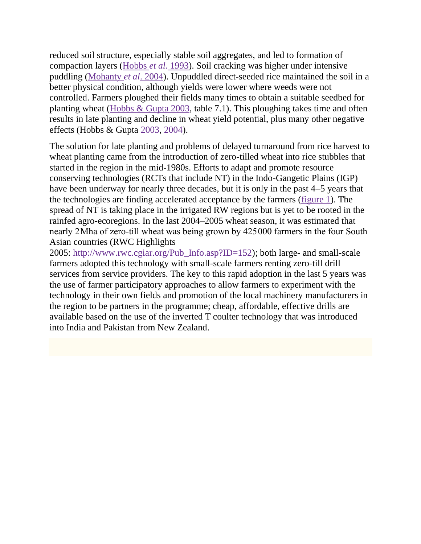reduced soil structure, especially stable soil aggregates, and led to formation of compaction layers [\(Hobbs](https://www.ncbi.nlm.nih.gov/pmc/articles/PMC2610169/#bib49) *et al.* 1993). Soil cracking was higher under intensive puddling [\(Mohanty](https://www.ncbi.nlm.nih.gov/pmc/articles/PMC2610169/#bib75) *et al*. 2004). Unpuddled direct-seeded rice maintained the soil in a better physical condition, although yields were lower where weeds were not controlled. Farmers ploughed their fields many times to obtain a suitable seedbed for planting wheat [\(Hobbs & Gupta 2003,](https://www.ncbi.nlm.nih.gov/pmc/articles/PMC2610169/#bib51) table 7.1). This ploughing takes time and often results in late planting and decline in wheat yield potential, plus many other negative effects (Hobbs & Gupta [2003,](https://www.ncbi.nlm.nih.gov/pmc/articles/PMC2610169/#bib51) [2004\)](https://www.ncbi.nlm.nih.gov/pmc/articles/PMC2610169/#bib52).

The solution for late planting and problems of delayed turnaround from rice harvest to wheat planting came from the introduction of zero-tilled wheat into rice stubbles that started in the region in the mid-1980s. Efforts to adapt and promote resource conserving technologies (RCTs that include NT) in the Indo-Gangetic Plains (IGP) have been underway for nearly three decades, but it is only in the past 4–5 years that the technologies are finding accelerated acceptance by the farmers [\(figure 1\)](https://www.ncbi.nlm.nih.gov/pmc/articles/PMC2610169/figure/fig1/). The spread of NT is taking place in the irrigated RW regions but is yet to be rooted in the rainfed agro-ecoregions. In the last 2004–2005 wheat season, it was estimated that nearly 2 Mha of zero-till wheat was being grown by 425 000 farmers in the four South Asian countries (RWC Highlights

2005: [http://www.rwc.cgiar.org/Pub\\_Info.asp?ID=152\)](http://www.rwc.cgiar.org/Pub_Info.asp?ID=152); both large- and small-scale farmers adopted this technology with small-scale farmers renting zero-till drill services from service providers. The key to this rapid adoption in the last 5 years was the use of farmer participatory approaches to allow farmers to experiment with the technology in their own fields and promotion of the local machinery manufacturers in the region to be partners in the programme; cheap, affordable, effective drills are available based on the use of the inverted T coulter technology that was introduced into India and Pakistan from New Zealand.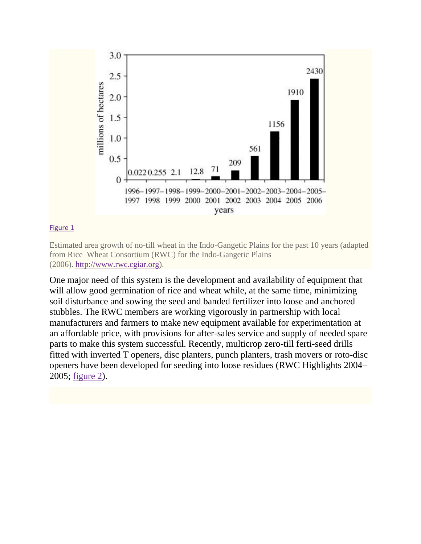

#### [Figure 1](https://www.ncbi.nlm.nih.gov/pmc/articles/PMC2610169/figure/fig1/)

Estimated area growth of no-till wheat in the Indo-Gangetic Plains for the past 10 years (adapted from Rice–Wheat Consortium (RWC) for the Indo-Gangetic Plains (2006). [http://www.rwc.cgiar.org\)](http://www.rwc.cgiar.org/).

One major need of this system is the development and availability of equipment that will allow good germination of rice and wheat while, at the same time, minimizing soil disturbance and sowing the seed and banded fertilizer into loose and anchored stubbles. The RWC members are working vigorously in partnership with local manufacturers and farmers to make new equipment available for experimentation at an affordable price, with provisions for after-sales service and supply of needed spare parts to make this system successful. Recently, multicrop zero-till ferti-seed drills fitted with inverted T openers, disc planters, punch planters, trash movers or roto-disc openers have been developed for seeding into loose residues (RWC Highlights 2004– 2005; [figure 2\)](https://www.ncbi.nlm.nih.gov/pmc/articles/PMC2610169/figure/fig2/).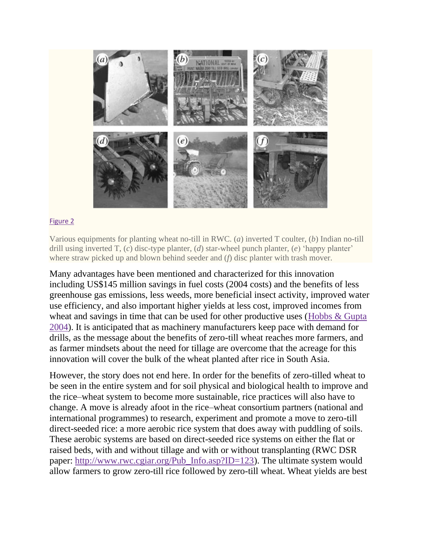

#### [Figure 2](https://www.ncbi.nlm.nih.gov/pmc/articles/PMC2610169/figure/fig2/)

Various equipments for planting wheat no-till in RWC. (*a*) inverted T coulter, (*b*) Indian no-till drill using inverted T, (*c*) disc-type planter, (*d*) star-wheel punch planter, (*e*) 'happy planter' where straw picked up and blown behind seeder and (*f*) disc planter with trash mover.

Many advantages have been mentioned and characterized for this innovation including US\$145 million savings in fuel costs (2004 costs) and the benefits of less greenhouse gas emissions, less weeds, more beneficial insect activity, improved water use efficiency, and also important higher yields at less cost, improved incomes from wheat and savings in time that can be used for other productive uses [\(Hobbs & Gupta](https://www.ncbi.nlm.nih.gov/pmc/articles/PMC2610169/#bib52)  [2004\)](https://www.ncbi.nlm.nih.gov/pmc/articles/PMC2610169/#bib52). It is anticipated that as machinery manufacturers keep pace with demand for drills, as the message about the benefits of zero-till wheat reaches more farmers, and as farmer mindsets about the need for tillage are overcome that the acreage for this innovation will cover the bulk of the wheat planted after rice in South Asia.

However, the story does not end here. In order for the benefits of zero-tilled wheat to be seen in the entire system and for soil physical and biological health to improve and the rice–wheat system to become more sustainable, rice practices will also have to change. A move is already afoot in the rice–wheat consortium partners (national and international programmes) to research, experiment and promote a move to zero-till direct-seeded rice: a more aerobic rice system that does away with puddling of soils. These aerobic systems are based on direct-seeded rice systems on either the flat or raised beds, with and without tillage and with or without transplanting (RWC DSR paper: [http://www.rwc.cgiar.org/Pub\\_Info.asp?ID=123\)](http://www.rwc.cgiar.org/Pub_Info.asp?ID=123). The ultimate system would allow farmers to grow zero-till rice followed by zero-till wheat. Wheat yields are best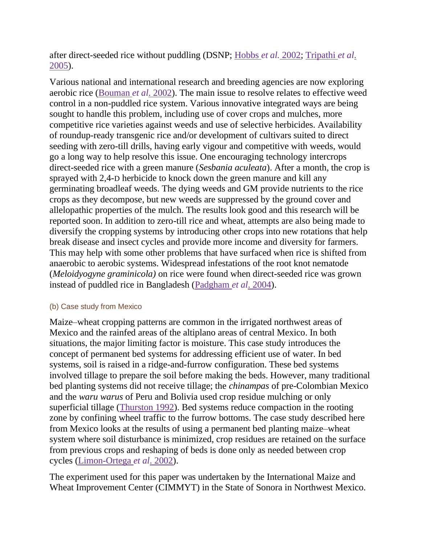after direct-seeded rice without puddling (DSNP; [Hobbs](https://www.ncbi.nlm.nih.gov/pmc/articles/PMC2610169/#bib50) *et al.* 2002; [Tripathi](https://www.ncbi.nlm.nih.gov/pmc/articles/PMC2610169/#bib98) *et al*. [2005\)](https://www.ncbi.nlm.nih.gov/pmc/articles/PMC2610169/#bib98).

Various national and international research and breeding agencies are now exploring aerobic rice [\(Bouman](https://www.ncbi.nlm.nih.gov/pmc/articles/PMC2610169/#bib16) *et al*. 2002). The main issue to resolve relates to effective weed control in a non-puddled rice system. Various innovative integrated ways are being sought to handle this problem, including use of cover crops and mulches, more competitive rice varieties against weeds and use of selective herbicides. Availability of roundup-ready transgenic rice and/or development of cultivars suited to direct seeding with zero-till drills, having early vigour and competitive with weeds, would go a long way to help resolve this issue. One encouraging technology intercrops direct-seeded rice with a green manure (*Sesbania aculeata*). After a month, the crop is sprayed with 2,4-D herbicide to knock down the green manure and kill any germinating broadleaf weeds. The dying weeds and GM provide nutrients to the rice crops as they decompose, but new weeds are suppressed by the ground cover and allelopathic properties of the mulch. The results look good and this research will be reported soon. In addition to zero-till rice and wheat, attempts are also being made to diversify the cropping systems by introducing other crops into new rotations that help break disease and insect cycles and provide more income and diversity for farmers. This may help with some other problems that have surfaced when rice is shifted from anaerobic to aerobic systems. Widespread infestations of the root knot nematode (*Meloidyogyne graminicola)* on rice were found when direct-seeded rice was grown instead of puddled rice in Bangladesh [\(Padgham](https://www.ncbi.nlm.nih.gov/pmc/articles/PMC2610169/#bib77) *et al*. 2004).

#### (b) Case study from Mexico

Maize–wheat cropping patterns are common in the irrigated northwest areas of Mexico and the rainfed areas of the altiplano areas of central Mexico. In both situations, the major limiting factor is moisture. This case study introduces the concept of permanent bed systems for addressing efficient use of water. In bed systems, soil is raised in a ridge-and-furrow configuration. These bed systems involved tillage to prepare the soil before making the beds. However, many traditional bed planting systems did not receive tillage; the *chinampas* of pre-Colombian Mexico and the *waru warus* of Peru and Bolivia used crop residue mulching or only superficial tillage [\(Thurston 1992\)](https://www.ncbi.nlm.nih.gov/pmc/articles/PMC2610169/#bib97). Bed systems reduce compaction in the rooting zone by confining wheel traffic to the furrow bottoms. The case study described here from Mexico looks at the results of using a permanent bed planting maize–wheat system where soil disturbance is minimized, crop residues are retained on the surface from previous crops and reshaping of beds is done only as needed between crop cycles [\(Limon-Ortega](https://www.ncbi.nlm.nih.gov/pmc/articles/PMC2610169/#bib67) *et al*. 2002).

The experiment used for this paper was undertaken by the International Maize and Wheat Improvement Center (CIMMYT) in the State of Sonora in Northwest Mexico.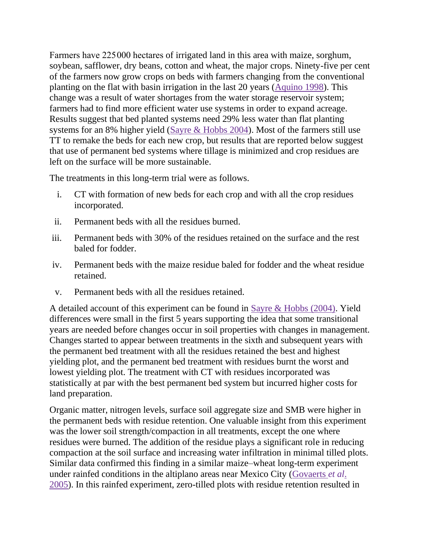Farmers have 225 000 hectares of irrigated land in this area with maize, sorghum, soybean, safflower, dry beans, cotton and wheat, the major crops. Ninety-five per cent of the farmers now grow crops on beds with farmers changing from the conventional planting on the flat with basin irrigation in the last 20 years [\(Aquino 1998\)](https://www.ncbi.nlm.nih.gov/pmc/articles/PMC2610169/#bib9). This change was a result of water shortages from the water storage reservoir system; farmers had to find more efficient water use systems in order to expand acreage. Results suggest that bed planted systems need 29% less water than flat planting systems for an 8% higher yield [\(Sayre & Hobbs 2004\)](https://www.ncbi.nlm.nih.gov/pmc/articles/PMC2610169/#bib87). Most of the farmers still use TT to remake the beds for each new crop, but results that are reported below suggest that use of permanent bed systems where tillage is minimized and crop residues are left on the surface will be more sustainable.

The treatments in this long-term trial were as follows.

- i. CT with formation of new beds for each crop and with all the crop residues incorporated.
- ii. Permanent beds with all the residues burned.
- iii. Permanent beds with 30% of the residues retained on the surface and the rest baled for fodder.
- iv. Permanent beds with the maize residue baled for fodder and the wheat residue retained.
- v. Permanent beds with all the residues retained.

A detailed account of this experiment can be found in [Sayre & Hobbs \(2004\).](https://www.ncbi.nlm.nih.gov/pmc/articles/PMC2610169/#bib87) Yield differences were small in the first 5 years supporting the idea that some transitional years are needed before changes occur in soil properties with changes in management. Changes started to appear between treatments in the sixth and subsequent years with the permanent bed treatment with all the residues retained the best and highest yielding plot, and the permanent bed treatment with residues burnt the worst and lowest yielding plot. The treatment with CT with residues incorporated was statistically at par with the best permanent bed system but incurred higher costs for land preparation.

Organic matter, nitrogen levels, surface soil aggregate size and SMB were higher in the permanent beds with residue retention. One valuable insight from this experiment was the lower soil strength/compaction in all treatments, except the one where residues were burned. The addition of the residue plays a significant role in reducing compaction at the soil surface and increasing water infiltration in minimal tilled plots. Similar data confirmed this finding in a similar maize–wheat long-term experiment under rainfed conditions in the altiplano areas near Mexico City [\(Govaerts](https://www.ncbi.nlm.nih.gov/pmc/articles/PMC2610169/#bib42) *et al*. [2005\)](https://www.ncbi.nlm.nih.gov/pmc/articles/PMC2610169/#bib42). In this rainfed experiment, zero-tilled plots with residue retention resulted in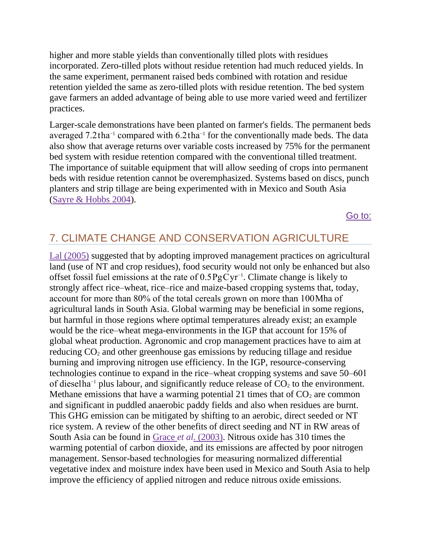higher and more stable yields than conventionally tilled plots with residues incorporated. Zero-tilled plots without residue retention had much reduced yields. In the same experiment, permanent raised beds combined with rotation and residue retention yielded the same as zero-tilled plots with residue retention. The bed system gave farmers an added advantage of being able to use more varied weed and fertilizer practices.

Larger-scale demonstrations have been planted on farmer's fields. The permanent beds averaged  $7.2$ tha<sup>-1</sup> compared with  $6.2$ tha<sup>-1</sup> for the conventionally made beds. The data also show that average returns over variable costs increased by 75% for the permanent bed system with residue retention compared with the conventional tilled treatment. The importance of suitable equipment that will allow seeding of crops into permanent beds with residue retention cannot be overemphasized. Systems based on discs, punch planters and strip tillage are being experimented with in Mexico and South Asia [\(Sayre & Hobbs 2004\)](https://www.ncbi.nlm.nih.gov/pmc/articles/PMC2610169/#bib87).

[Go to:](https://www.ncbi.nlm.nih.gov/pmc/articles/PMC2610169/)

## 7. CLIMATE CHANGE AND CONSERVATION AGRICULTURE

[Lal \(2005\)](https://www.ncbi.nlm.nih.gov/pmc/articles/PMC2610169/#bib65) suggested that by adopting improved management practices on agricultural land (use of NT and crop residues), food security would not only be enhanced but also offset fossil fuel emissions at the rate of 0.5 Pg C yr−1. Climate change is likely to strongly affect rice–wheat, rice–rice and maize-based cropping systems that, today, account for more than 80% of the total cereals grown on more than 100 Mha of agricultural lands in South Asia. Global warming may be beneficial in some regions, but harmful in those regions where optimal temperatures already exist; an example would be the rice–wheat mega-environments in the IGP that account for 15% of global wheat production. Agronomic and crop management practices have to aim at reducing  $CO<sub>2</sub>$  and other greenhouse gas emissions by reducing tillage and residue burning and improving nitrogen use efficiency. In the IGP, resource-conserving technologies continue to expand in the rice–wheat cropping systems and save 50–60 l of dieselha<sup>-1</sup> plus labour, and significantly reduce release of  $CO<sub>2</sub>$  to the environment. Methane emissions that have a warming potential 21 times that of  $CO<sub>2</sub>$  are common and significant in puddled anaerobic paddy fields and also when residues are burnt. This GHG emission can be mitigated by shifting to an aerobic, direct seeded or NT rice system. A review of the other benefits of direct seeding and NT in RW areas of South Asia can be found in Grace *et al*[. \(2003\).](https://www.ncbi.nlm.nih.gov/pmc/articles/PMC2610169/#bib43) Nitrous oxide has 310 times the warming potential of carbon dioxide, and its emissions are affected by poor nitrogen management. Sensor-based technologies for measuring normalized differential vegetative index and moisture index have been used in Mexico and South Asia to help improve the efficiency of applied nitrogen and reduce nitrous oxide emissions.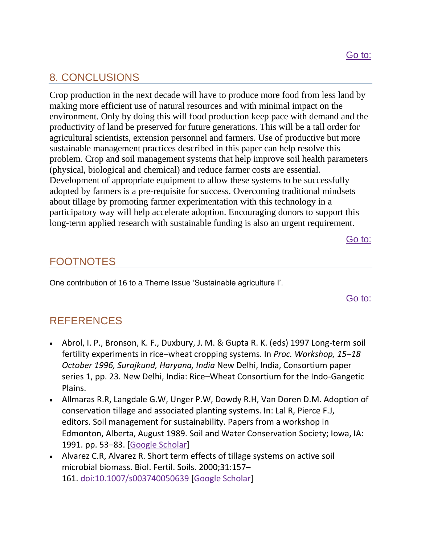# 8. CONCLUSIONS

Crop production in the next decade will have to produce more food from less land by making more efficient use of natural resources and with minimal impact on the environment. Only by doing this will food production keep pace with demand and the productivity of land be preserved for future generations. This will be a tall order for agricultural scientists, extension personnel and farmers. Use of productive but more sustainable management practices described in this paper can help resolve this problem. Crop and soil management systems that help improve soil health parameters (physical, biological and chemical) and reduce farmer costs are essential. Development of appropriate equipment to allow these systems to be successfully adopted by farmers is a pre-requisite for success. Overcoming traditional mindsets about tillage by promoting farmer experimentation with this technology in a participatory way will help accelerate adoption. Encouraging donors to support this long-term applied research with sustainable funding is also an urgent requirement.

[Go to:](https://www.ncbi.nlm.nih.gov/pmc/articles/PMC2610169/)

## **FOOTNOTES**

One contribution of 16 to a Theme Issue 'Sustainable agriculture I'.

[Go to:](https://www.ncbi.nlm.nih.gov/pmc/articles/PMC2610169/)

# REFERENCES

- Abrol, I. P., Bronson, K. F., Duxbury, J. M. & Gupta R. K. (eds) 1997 Long-term soil fertility experiments in rice–wheat cropping systems. In *Proc. Workshop, 15–18 October 1996, Surajkund, Haryana, India* New Delhi, India, Consortium paper series 1, pp. 23. New Delhi, India: Rice–Wheat Consortium for the Indo-Gangetic Plains.
- Allmaras R.R, Langdale G.W, Unger P.W, Dowdy R.H, Van Doren D.M. Adoption of conservation tillage and associated planting systems. In: Lal R, Pierce F.J, editors. Soil management for sustainability. Papers from a workshop in Edmonton, Alberta, August 1989. Soil and Water Conservation Society; Iowa, IA: 1991. pp. 53–83. [\[Google Scholar\]](https://scholar.google.com/scholar_lookup?title=Soil+management+for+sustainability&title=Papers+from+a+workshop+in+Edmonton,+Alberta,+August+1989&author=R.R+Allmaras&author=G.W+Langdale&author=P.W+Unger&author=R.H+Dowdy&author=D.M+Van+Doren&publication_year=1991&)
- Alvarez C.R, Alvarez R. Short term effects of tillage systems on active soil microbial biomass. Biol. Fertil. Soils. 2000;31:157– 161. [doi:10.1007/s003740050639](http://dx.doi.org/doi:10.1007/s003740050639) [\[Google Scholar\]](https://scholar.google.com/scholar_lookup?journal=Biol.+Fertil.+Soils&title=Short+term+effects+of+tillage+systems+on+active+soil+microbial+biomass&author=C.R+Alvarez&author=R+Alvarez&volume=31&publication_year=2000&pages=157-161&)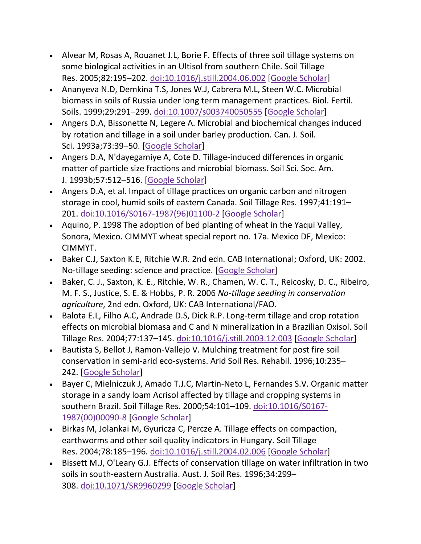- Alvear M, Rosas A, Rouanet J.L, Borie F. Effects of three soil tillage systems on some biological activities in an Ultisol from southern Chile. Soil Tillage Res. 2005;82:195–202. [doi:10.1016/j.still.2004.06.002](http://dx.doi.org/doi:10.1016/j.still.2004.06.002) [\[Google Scholar\]](https://scholar.google.com/scholar_lookup?journal=Soil+Tillage+Res&title=Effects+of+three+soil+tillage+systems+on+some+biological+activities+in+an+Ultisol+from+southern+Chile&author=M+Alvear&author=A+Rosas&author=J.L+Rouanet&author=F+Borie&volume=82&publication_year=2005&pages=195-202&)
- Ananyeva N.D, Demkina T.S, Jones W.J, Cabrera M.L, Steen W.C. Microbial biomass in soils of Russia under long term management practices. Biol. Fertil. Soils. 1999;29:291–299. [doi:10.1007/s003740050555](http://dx.doi.org/doi:10.1007/s003740050555) [\[Google Scholar\]](https://scholar.google.com/scholar_lookup?journal=Biol.+Fertil.+Soils&title=Microbial+biomass+in+soils+of+Russia+under+long+term+management+practices&author=N.D+Ananyeva&author=T.S+Demkina&author=W.J+Jones&author=M.L+Cabrera&author=W.C+Steen&volume=29&publication_year=1999&pages=291-299&)
- Angers D.A, Bissonette N, Legere A. Microbial and biochemical changes induced by rotation and tillage in a soil under barley production. Can. J. Soil. Sci. 1993a;73:39–50. [\[Google Scholar\]](https://scholar.google.com/scholar_lookup?journal=Can.+J.+Soil.+Sci&title=Microbial+and+biochemical+changes+induced+by+rotation+and+tillage+in+a+soil+under+barley+production&author=D.A+Angers&author=N+Bissonette&author=A+Legere&volume=73&publication_year=1993a&pages=39-50&)
- Angers D.A, N'dayegamiye A, Cote D. Tillage-induced differences in organic matter of particle size fractions and microbial biomass. Soil Sci. Soc. Am. J. 1993b;57:512–516. [\[Google Scholar\]](https://scholar.google.com/scholar_lookup?journal=Soil+Sci.+Soc.+Am.+J&title=Tillage-induced+differences+in+organic+matter+of+particle+size+fractions+and+microbial+biomass&author=D.A+Angers&author=A+N%27dayegamiye&author=D+Cote&volume=57&publication_year=1993b&pages=512-516&)
- Angers D.A, et al. Impact of tillage practices on organic carbon and nitrogen storage in cool, humid soils of eastern Canada. Soil Tillage Res. 1997;41:191– 201. [doi:10.1016/S0167-1987\(96\)01100-2](http://dx.doi.org/doi:10.1016/S0167-1987(96)01100-2) [\[Google Scholar\]](https://scholar.google.com/scholar_lookup?journal=Soil+Tillage+Res&title=Impact+of+tillage+practices+on+organic+carbon+and+nitrogen+storage+in+cool,+humid+soils+of+eastern+Canada&author=D.A+Angers&volume=41&publication_year=1997&pages=191-201&)
- Aquino, P. 1998 The adoption of bed planting of wheat in the Yaqui Valley, Sonora, Mexico. CIMMYT wheat special report no. 17a. Mexico DF, Mexico: CIMMYT.
- Baker C.J, Saxton K.E, Ritchie W.R. 2nd edn. CAB International; Oxford, UK: 2002. No-tillage seeding: science and practice. [\[Google Scholar\]](https://scholar.google.com/scholar?q=Baker+C.J+Saxton+K.E+Ritchie+W.R+No-tillage+seeding:+science+and+practice+2nd+edn.+2002+CAB+International+Oxford,+UK+)
- Baker, C. J., Saxton, K. E., Ritchie, W. R., Chamen, W. C. T., Reicosky, D. C., Ribeiro, M. F. S., Justice, S. E. & Hobbs, P. R. 2006 *No-tillage seeding in conservation agriculture*, 2nd edn. Oxford, UK: CAB International/FAO.
- Balota E.L, Filho A.C, Andrade D.S, Dick R.P. Long-term tillage and crop rotation effects on microbial biomasa and C and N mineralization in a Brazilian Oxisol. Soil Tillage Res. 2004;77:137–145. [doi:10.1016/j.still.2003.12.003](http://dx.doi.org/doi:10.1016/j.still.2003.12.003) [\[Google Scholar\]](https://scholar.google.com/scholar_lookup?journal=Soil+Tillage+Res&title=Long-term+tillage+and+crop+rotation+effects+on+microbial+biomasa+and+C+and+N+mineralization+in+a+Brazilian+Oxisol&author=E.L+Balota&author=A.C+Filho&author=D.S+Andrade&author=R.P+Dick&volume=77&publication_year=2004&pages=137-145&)
- Bautista S, Bellot J, Ramon-Vallejo V. Mulching treatment for post fire soil conservation in semi-arid eco-systems. Arid Soil Res. Rehabil. 1996;10:235– 242. [\[Google Scholar\]](https://scholar.google.com/scholar_lookup?journal=Arid+Soil+Res.+Rehabil&title=Mulching+treatment+for+post+fire+soil+conservation+in+semi-arid+eco-systems&author=S+Bautista&author=J+Bellot&author=V+Ramon-Vallejo&volume=10&publication_year=1996&pages=235-242&)
- Bayer C, Mielniczuk J, Amado T.J.C, Martin-Neto L, Fernandes S.V. Organic matter storage in a sandy loam Acrisol affected by tillage and cropping systems in southern Brazil. Soil Tillage Res. 2000;54:101–109. [doi:10.1016/S0167-](http://dx.doi.org/doi:10.1016/S0167-1987(00)00090-8) [1987\(00\)00090-8](http://dx.doi.org/doi:10.1016/S0167-1987(00)00090-8) [\[Google Scholar\]](https://scholar.google.com/scholar_lookup?journal=Soil+Tillage+Res&title=Organic+matter+storage+in+a+sandy+loam+Acrisol+affected+by+tillage+and+cropping+systems+in+southern+Brazil&author=C+Bayer&author=J+Mielniczuk&author=T.J.C+Amado&author=L+Martin-Neto&author=S.V+Fernandes&volume=54&publication_year=2000&pages=101-109&)
- Birkas M, Jolankai M, Gyuricza C, Percze A. Tillage effects on compaction, earthworms and other soil quality indicators in Hungary. Soil Tillage Res. 2004;78:185–196. [doi:10.1016/j.still.2004.02.006](http://dx.doi.org/doi:10.1016/j.still.2004.02.006) [\[Google Scholar\]](https://scholar.google.com/scholar_lookup?journal=Soil+Tillage+Res&title=Tillage+effects+on+compaction,+earthworms+and+other+soil+quality+indicators+in+Hungary&author=M+Birkas&author=M+Jolankai&author=C+Gyuricza&author=A+Percze&volume=78&publication_year=2004&pages=185-196&)
- Bissett M.J, O'Leary G.J. Effects of conservation tillage on water infiltration in two soils in south-eastern Australia. Aust. J. Soil Res. 1996;34:299– 308. [doi:10.1071/SR9960299](http://dx.doi.org/doi:10.1071/SR9960299) [\[Google Scholar\]](https://scholar.google.com/scholar_lookup?journal=Aust.+J.+Soil+Res&title=Effects+of+conservation+tillage+on+water+infiltration+in+two+soils+in+south-eastern+Australia&author=M.J+Bissett&author=G.J+O%27Leary&volume=34&publication_year=1996&pages=299-308&)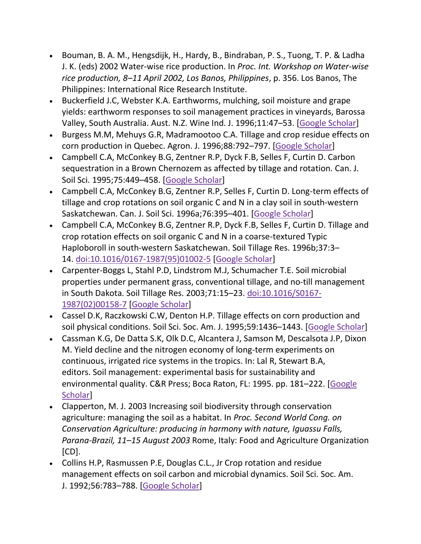- Bouman, B. A. M., Hengsdijk, H., Hardy, B., Bindraban, P. S., Tuong, T. P. & Ladha J. K. (eds) 2002 Water-wise rice production. In *Proc. Int. Workshop on Water-wise rice production, 8–11 April 2002, Los Banos, Philippines*, p. 356. Los Banos, The Philippines: International Rice Research Institute.
- Buckerfield J.C, Webster K.A. Earthworms, mulching, soil moisture and grape yields: earthworm responses to soil management practices in vineyards, Barossa Valley, South Australia. Aust. N.Z. Wine Ind. J. 1996;11:47–53. [\[Google Scholar\]](https://scholar.google.com/scholar_lookup?journal=Aust.+N.Z.+Wine+Ind.+J&title=Earthworms,+mulching,+soil+moisture+and+grape+yields:+earthworm+responses+to+soil+management+practices+in+vineyards,+Barossa+Valley,+South+Australia&author=J.C+Buckerfield&author=K.A+Webster&volume=11&publication_year=1996&pages=47-53&)
- Burgess M.M, Mehuys G.R, Madramootoo C.A. Tillage and crop residue effects on corn production in Quebec. Agron. J. 1996;88:792–797. [\[Google Scholar\]](https://scholar.google.com/scholar_lookup?journal=Agron.+J&title=Tillage+and+crop+residue+effects+on+corn+production+in+Quebec&author=M.M+Burgess&author=G.R+Mehuys&author=C.A+Madramootoo&volume=88&publication_year=1996&pages=792-797&)
- Campbell C.A, McConkey B.G, Zentner R.P, Dyck F.B, Selles F, Curtin D. Carbon sequestration in a Brown Chernozem as affected by tillage and rotation. Can. J. Soil Sci. 1995;75:449–458. [\[Google Scholar\]](https://scholar.google.com/scholar_lookup?journal=Can.+J.+Soil+Sci&title=Carbon+sequestration+in+a+Brown+Chernozem+as+affected+by+tillage+and+rotation&author=C.A+Campbell&author=B.G+McConkey&author=R.P+Zentner&author=F.B+Dyck&author=F+Selles&volume=75&publication_year=1995&pages=449-458&)
- Campbell C.A, McConkey B.G, Zentner R.P, Selles F, Curtin D. Long-term effects of tillage and crop rotations on soil organic C and N in a clay soil in south-western Saskatchewan. Can. J. Soil Sci. 1996a;76:395–401. [\[Google Scholar\]](https://scholar.google.com/scholar_lookup?journal=Can.+J.+Soil+Sci&title=Long-term+effects+of+tillage+and+crop+rotations+on+soil+organic+C+and+N+in+a+clay+soil+in+south-western+Saskatchewan&author=C.A+Campbell&author=B.G+McConkey&author=R.P+Zentner&author=F+Selles&author=D+Curtin&volume=76&publication_year=1996a&pages=395-401&)
- Campbell C.A, McConkey B.G, Zentner R.P, Dyck F.B, Selles F, Curtin D. Tillage and crop rotation effects on soil organic C and N in a coarse-textured Typic Haploboroll in south-western Saskatchewan. Soil Tillage Res. 1996b;37:3– 14. [doi:10.1016/0167-1987\(95\)01002-5](http://dx.doi.org/doi:10.1016/0167-1987(95)01002-5) [\[Google Scholar\]](https://scholar.google.com/scholar_lookup?journal=Soil+Tillage+Res&title=Tillage+and+crop+rotation+effects+on+soil+organic+C+and+N+in+a+coarse-textured+Typic+Haploboroll+in+south-western+Saskatchewan&author=C.A+Campbell&author=B.G+McConkey&author=R.P+Zentner&author=F.B+Dyck&author=F+Selles&volume=37&publication_year=1996b&pages=3-14&)
- Carpenter-Boggs L, Stahl P.D, Lindstrom M.J, Schumacher T.E. Soil microbial properties under permanent grass, conventional tillage, and no-till management in South Dakota. Soil Tillage Res. 2003;71:15–23. [doi:10.1016/S0167-](http://dx.doi.org/doi:10.1016/S0167-1987(02)00158-7) [1987\(02\)00158-7](http://dx.doi.org/doi:10.1016/S0167-1987(02)00158-7) [\[Google Scholar\]](https://scholar.google.com/scholar_lookup?journal=Soil+Tillage+Res&title=Soil+microbial+properties+under+permanent+grass,+conventional+tillage,+and+no-till+management+in+South+Dakota&author=L+Carpenter-Boggs&author=P.D+Stahl&author=M.J+Lindstrom&author=T.E+Schumacher&volume=71&publication_year=2003&pages=15-23&)
- Cassel D.K, Raczkowski C.W, Denton H.P. Tillage effects on corn production and soil physical conditions. Soil Sci. Soc. Am. J. 1995;59:1436–1443. [\[Google Scholar\]](https://scholar.google.com/scholar_lookup?journal=Soil+Sci.+Soc.+Am.+J&title=Tillage+effects+on+corn+production+and+soil+physical+conditions&author=D.K+Cassel&author=C.W+Raczkowski&author=H.P+Denton&volume=59&publication_year=1995&pages=1436-1443&)
- Cassman K.G, De Datta S.K, Olk D.C, Alcantera J, Samson M, Descalsota J.P, Dixon M. Yield decline and the nitrogen economy of long-term experiments on continuous, irrigated rice systems in the tropics. In: Lal R, Stewart B.A, editors. Soil management: experimental basis for sustainability and environmental quality. C&R Press; Boca Raton, FL: 1995. pp. 181–222. [\[Google](https://scholar.google.com/scholar_lookup?title=Soil+management:+experimental+basis+for+sustainability+and+environmental+quality&author=K.G+Cassman&author=S.K+De+Datta&author=D.C+Olk&author=J+Alcantera&author=M+Samson&publication_year=1995&)  **Scholarl**
- Clapperton, M. J. 2003 Increasing soil biodiversity through conservation agriculture: managing the soil as a habitat. In *Proc. Second World Cong. on Conservation Agriculture: producing in harmony with nature, Iguassu Falls, Parana-Brazil, 11–15 August 2003* Rome, Italy: Food and Agriculture Organization [CD].
- Collins H.P, Rasmussen P.E, Douglas C.L., Jr Crop rotation and residue management effects on soil carbon and microbial dynamics. Soil Sci. Soc. Am. J. 1992;56:783–788. [\[Google Scholar\]](https://scholar.google.com/scholar_lookup?journal=Soil+Sci.+Soc.+Am.+J&title=Crop+rotation+and+residue+management+effects+on+soil+carbon+and+microbial+dynamics&author=H.P+Collins&author=P.E+Rasmussen&author=C.L+Douglas&volume=56&publication_year=1992&pages=783-788&)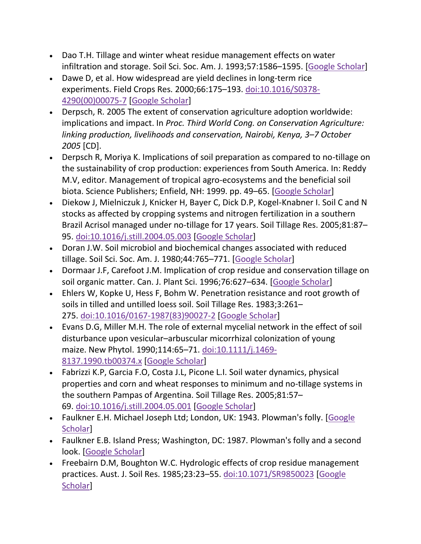- Dao T.H. Tillage and winter wheat residue management effects on water infiltration and storage. Soil Sci. Soc. Am. J. 1993;57:1586–1595. [\[Google Scholar\]](https://scholar.google.com/scholar_lookup?journal=Soil+Sci.+Soc.+Am.+J&title=Tillage+and+winter+wheat+residue+management+effects+on+water+infiltration+and+storage&author=T.H+Dao&volume=57&publication_year=1993&pages=1586-1595&)
- Dawe D, et al. How widespread are yield declines in long-term rice experiments. Field Crops Res. 2000;66:175–193. [doi:10.1016/S0378-](http://dx.doi.org/doi:10.1016/S0378-4290(00)00075-7) [4290\(00\)00075-7](http://dx.doi.org/doi:10.1016/S0378-4290(00)00075-7) [\[Google Scholar\]](https://scholar.google.com/scholar_lookup?journal=Field+Crops+Res&title=How+widespread+are+yield+declines+in+long-term+rice+experiments&author=D+Dawe&volume=66&publication_year=2000&pages=175-193&)
- Derpsch, R. 2005 The extent of conservation agriculture adoption worldwide: implications and impact. In *Proc. Third World Cong. on Conservation Agriculture: linking production, livelihoods and conservation, Nairobi, Kenya, 3–7 October 2005* [CD].
- Derpsch R, Moriya K. Implications of soil preparation as compared to no-tillage on the sustainability of crop production: experiences from South America. In: Reddy M.V, editor. Management of tropical agro-ecosystems and the beneficial soil biota. Science Publishers; Enfield, NH: 1999. pp. 49–65. [\[Google Scholar\]](https://scholar.google.com/scholar_lookup?title=Management+of+tropical+agro-ecosystems+and+the+beneficial+soil+biota&author=R+Derpsch&author=K+Moriya&publication_year=1999&)
- Diekow J, Mielniczuk J, Knicker H, Bayer C, Dick D.P, Kogel-Knabner I. Soil C and N stocks as affected by cropping systems and nitrogen fertilization in a southern Brazil Acrisol managed under no-tillage for 17 years. Soil Tillage Res. 2005;81:87– 95. [doi:10.1016/j.still.2004.05.003](http://dx.doi.org/doi:10.1016/j.still.2004.05.003) [\[Google Scholar\]](https://scholar.google.com/scholar_lookup?journal=Soil+Tillage+Res&title=Soil+C+and+N+stocks+as+affected+by+cropping+systems+and+nitrogen+fertilization+in+a+southern+Brazil+Acrisol+managed+under+no-tillage+for+17+years&author=J+Diekow&author=J+Mielniczuk&author=H+Knicker&author=C+Bayer&author=D.P+Dick&volume=81&publication_year=2005&pages=87-95&)
- Doran J.W. Soil microbiol and biochemical changes associated with reduced tillage. Soil Sci. Soc. Am. J. 1980;44:765–771. [\[Google Scholar\]](https://scholar.google.com/scholar_lookup?journal=Soil+Sci.+Soc.+Am.+J&title=Soil+microbiol+and+biochemical+changes+associated+with+reduced+tillage&author=J.W+Doran&volume=44&publication_year=1980&pages=765-771&)
- Dormaar J.F, Carefoot J.M. Implication of crop residue and conservation tillage on soil organic matter. Can. J. Plant Sci. 1996;76:627–634. [\[Google Scholar\]](https://scholar.google.com/scholar_lookup?journal=Can.+J.+Plant+Sci&title=Implication+of+crop+residue+and+conservation+tillage+on+soil+organic+matter&author=J.F+Dormaar&author=J.M+Carefoot&volume=76&publication_year=1996&pages=627-634&)
- Ehlers W, Kopke U, Hess F, Bohm W. Penetration resistance and root growth of soils in tilled and untilled loess soil. Soil Tillage Res. 1983;3:261– 275. [doi:10.1016/0167-1987\(83\)90027-2](http://dx.doi.org/doi:10.1016/0167-1987(83)90027-2) [\[Google Scholar\]](https://scholar.google.com/scholar_lookup?journal=Soil+Tillage+Res&title=Penetration+resistance+and+root+growth+of+soils+in+tilled+and+untilled+loess+soil&author=W+Ehlers&author=U+Kopke&author=F+Hess&author=W+Bohm&volume=3&publication_year=1983&pages=261-275&)
- Evans D.G, Miller M.H. The role of external mycelial network in the effect of soil disturbance upon vesicular–arbuscular micorrhizal colonization of young maize. New Phytol. 1990;114:65–71. [doi:10.1111/j.1469-](http://dx.doi.org/doi:10.1111/j.1469-8137.1990.tb00374.x) [8137.1990.tb00374.x](http://dx.doi.org/doi:10.1111/j.1469-8137.1990.tb00374.x) [\[Google Scholar\]](https://scholar.google.com/scholar_lookup?journal=New+Phytol&title=The+role+of+external+mycelial+network+in+the+effect+of+soil+disturbance+upon+vesicular%E2%80%93arbuscular+micorrhizal+colonization+of+young+maize&author=D.G+Evans&author=M.H+Miller&volume=114&publication_year=1990&pages=65-71&)
- Fabrizzi K.P, Garcia F.O, Costa J.L, Picone L.I. Soil water dynamics, physical properties and corn and wheat responses to minimum and no-tillage systems in the southern Pampas of Argentina. Soil Tillage Res. 2005;81:57– 69. [doi:10.1016/j.still.2004.05.001](http://dx.doi.org/doi:10.1016/j.still.2004.05.001) [\[Google Scholar\]](https://scholar.google.com/scholar_lookup?journal=Soil+Tillage+Res&title=Soil+water+dynamics,+physical+properties+and+corn+and+wheat+responses+to+minimum+and+no-tillage+systems+in+the+southern+Pampas+of+Argentina&author=K.P+Fabrizzi&author=F.O+Garcia&author=J.L+Costa&author=L.I+Picone&volume=81&publication_year=2005&pages=57-69&)
- Faulkner E.H. Michael Joseph Ltd; London, UK: 1943. Plowman's folly. [\[Google](https://scholar.google.com/scholar?q=Faulkner+E.H+Plowman%27s+folly+1943+Michael+Joseph+Ltd+London,+UK+)  **Scholarl**
- Faulkner E.B. Island Press; Washington, DC: 1987. Plowman's folly and a second look. [\[Google Scholar\]](https://scholar.google.com/scholar?q=Faulkner+E.B+Plowman%27s+folly+and+a+second+look+1987+Island+Press+Washington,+DC+)
- Freebairn D.M, Boughton W.C. Hydrologic effects of crop residue management practices. Aust. J. Soil Res. 1985;23:23–55. [doi:10.1071/SR9850023](http://dx.doi.org/doi:10.1071/SR9850023) [\[Google](https://scholar.google.com/scholar_lookup?journal=Aust.+J.+Soil+Res&title=Hydrologic+effects+of+crop+residue+management+practices&author=D.M+Freebairn&author=W.C+Boughton&volume=23&publication_year=1985&pages=23-55&)  [Scholar\]](https://scholar.google.com/scholar_lookup?journal=Aust.+J.+Soil+Res&title=Hydrologic+effects+of+crop+residue+management+practices&author=D.M+Freebairn&author=W.C+Boughton&volume=23&publication_year=1985&pages=23-55&)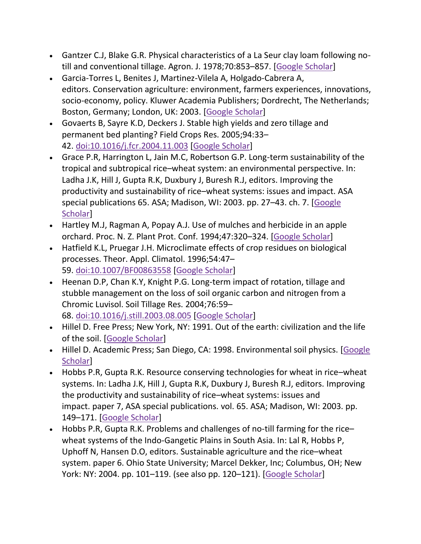- Gantzer C.J, Blake G.R. Physical characteristics of a La Seur clay loam following notill and conventional tillage. Agron. J. 1978;70:853–857. [\[Google Scholar\]](https://scholar.google.com/scholar_lookup?journal=Agron.+J&title=Physical+characteristics+of+a+La+Seur+clay+loam+following+no-till+and+conventional+tillage&author=C.J+Gantzer&author=G.R+Blake&volume=70&publication_year=1978&pages=853-857&)
- Garcia-Torres L, Benites J, Martinez-Vilela A, Holgado-Cabrera A, editors. Conservation agriculture: environment, farmers experiences, innovations, socio-economy, policy. Kluwer Academia Publishers; Dordrecht, The Netherlands; Boston, Germany; London, UK: 2003. [\[Google Scholar\]](https://scholar.google.com/scholar_lookup?title=Conservation+agriculture:+environment,+farmers+experiences,+innovations,+socio-economy,+policy&publication_year=2003&)
- Govaerts B, Sayre K.D, Deckers J. Stable high yields and zero tillage and permanent bed planting? Field Crops Res. 2005;94:33– 42. [doi:10.1016/j.fcr.2004.11.003](http://dx.doi.org/doi:10.1016/j.fcr.2004.11.003) [\[Google Scholar\]](https://scholar.google.com/scholar_lookup?journal=Field+Crops+Res&title=Stable+high+yields+and+zero+tillage+and+permanent+bed+planting?&author=B+Govaerts&author=K.D+Sayre&author=J+Deckers&volume=94&publication_year=2005&pages=33-42&)
- Grace P.R, Harrington L, Jain M.C, Robertson G.P. Long-term sustainability of the tropical and subtropical rice–wheat system: an environmental perspective. In: Ladha J.K, Hill J, Gupta R.K, Duxbury J, Buresh R.J, editors. Improving the productivity and sustainability of rice–wheat systems: issues and impact. ASA special publications 65. ASA; Madison, WI: 2003. pp. 27-43. ch. 7. [Google **Scholarl**
- Hartley M.J, Ragman A, Popay A.J. Use of mulches and herbicide in an apple orchard. Proc. N. Z. Plant Prot. Conf. 1994;47:320–324. [\[Google Scholar\]](https://scholar.google.com/scholar_lookup?journal=Proc.+N.+Z.+Plant+Prot.+Conf&title=Use+of+mulches+and+herbicide+in+an+apple+orchard&author=M.J+Hartley&author=A+Ragman&author=A.J+Popay&volume=47&publication_year=1994&pages=320-324&)
- Hatfield K.L, Pruegar J.H. Microclimate effects of crop residues on biological processes. Theor. Appl. Climatol. 1996;54:47– 59. [doi:10.1007/BF00863558](http://dx.doi.org/doi:10.1007/BF00863558) [\[Google Scholar\]](https://scholar.google.com/scholar_lookup?journal=Theor.+Appl.+Climatol&title=Microclimate+effects+of+crop+residues+on+biological+processes&author=K.L+Hatfield&author=J.H+Pruegar&volume=54&publication_year=1996&pages=47-59&)
- Heenan D.P, Chan K.Y, Knight P.G. Long-term impact of rotation, tillage and stubble management on the loss of soil organic carbon and nitrogen from a Chromic Luvisol. Soil Tillage Res. 2004;76:59– 68. [doi:10.1016/j.still.2003.08.005](http://dx.doi.org/doi:10.1016/j.still.2003.08.005) [\[Google Scholar\]](https://scholar.google.com/scholar_lookup?journal=Soil+Tillage+Res&title=Long-term+impact+of+rotation,+tillage+and+stubble+management+on+the+loss+of+soil+organic+carbon+and+nitrogen+from+a+Chromic+Luvisol&author=D.P+Heenan&author=K.Y+Chan&author=P.G+Knight&volume=76&publication_year=2004&pages=59-68&)
- Hillel D. Free Press; New York, NY: 1991. Out of the earth: civilization and the life of the soil. [\[Google Scholar\]](https://scholar.google.com/scholar?q=Hillel+D+Out+of+the+earth:+civilization+and+the+life+of+the+soil+1991+Free+Press+New+York,+NY+)
- Hillel D. Academic Press; San Diego, CA: 1998. Environmental soil physics. [Google [Scholar\]](https://scholar.google.com/scholar?q=Hillel+D+Environmental+soil+physics+1998+Academic+Press+San+Diego,+CA+)
- Hobbs P.R, Gupta R.K. Resource conserving technologies for wheat in rice–wheat systems. In: Ladha J.K, Hill J, Gupta R.K, Duxbury J, Buresh R.J, editors. Improving the productivity and sustainability of rice–wheat systems: issues and impact. paper 7, ASA special publications. vol. 65. ASA; Madison, WI: 2003. pp. 149–171. [\[Google Scholar\]](https://scholar.google.com/scholar_lookup?title=Improving+the+productivity+and+sustainability+of+rice%E2%80%93wheat+systems:+issues+and+impact&title=paper+7,+ASA+special+publications&author=P.R+Hobbs&author=R.K+Gupta&publication_year=2003&)
- Hobbs P.R, Gupta R.K. Problems and challenges of no-till farming for the rice– wheat systems of the Indo-Gangetic Plains in South Asia. In: Lal R, Hobbs P, Uphoff N, Hansen D.O, editors. Sustainable agriculture and the rice–wheat system. paper 6. Ohio State University; Marcel Dekker, Inc; Columbus, OH; New York: NY: 2004. pp. 101–119. (see also pp. 120–121). [\[Google Scholar\]](https://scholar.google.com/scholar_lookup?title=Sustainable+agriculture+and+the+rice%E2%80%93wheat+system&title=paper+6&author=P.R+Hobbs&author=R.K+Gupta&publication_year=2004&)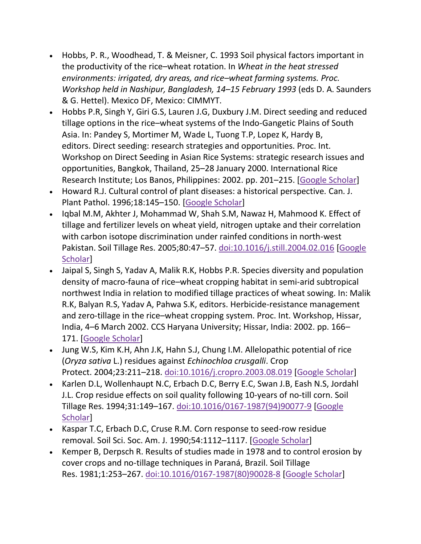- Hobbs, P. R., Woodhead, T. & Meisner, C. 1993 Soil physical factors important in the productivity of the rice–wheat rotation. In *Wheat in the heat stressed environments: irrigated, dry areas, and rice–wheat farming systems. Proc. Workshop held in Nashipur, Bangladesh, 14–15 February 1993* (eds D. A. Saunders & G. Hettel). Mexico DF, Mexico: CIMMYT.
- Hobbs P.R, Singh Y, Giri G.S, Lauren J.G, Duxbury J.M. Direct seeding and reduced tillage options in the rice–wheat systems of the Indo-Gangetic Plains of South Asia. In: Pandey S, Mortimer M, Wade L, Tuong T.P, Lopez K, Hardy B, editors. Direct seeding: research strategies and opportunities. Proc. Int. Workshop on Direct Seeding in Asian Rice Systems: strategic research issues and opportunities, Bangkok, Thailand, 25–28 January 2000. International Rice Research Institute; Los Banos, Philippines: 2002. pp. 201–215. [\[Google Scholar\]](https://scholar.google.com/scholar_lookup?title=Direct+seeding:+research+strategies+and+opportunities.+Proc.+Int.+Workshop+on+Direct+Seeding+in+Asian+Rice+Systems:+strategic+research+issues+and+opportunities,+Bangkok,+Thailand,+25%E2%80%9328+January+2000&author=P.R+Hobbs&author=Y+Singh&author=G.S+Giri&author=J.G+Lauren&author=J.M+Duxbury&publication_year=2002&)
- Howard R.J. Cultural control of plant diseases: a historical perspective. Can. J. Plant Pathol. 1996;18:145–150. [\[Google Scholar\]](https://scholar.google.com/scholar_lookup?journal=Can.+J.+Plant+Pathol&title=Cultural+control+of+plant+diseases:+a+historical+perspective&author=R.J+Howard&volume=18&publication_year=1996&pages=145-150&)
- Iqbal M.M, Akhter J, Mohammad W, Shah S.M, Nawaz H, Mahmood K. Effect of tillage and fertilizer levels on wheat yield, nitrogen uptake and their correlation with carbon isotope discrimination under rainfed conditions in north-west Pakistan. Soil Tillage Res. 2005;80:47–57. [doi:10.1016/j.still.2004.02.016](http://dx.doi.org/doi:10.1016/j.still.2004.02.016) [\[Google](https://scholar.google.com/scholar_lookup?journal=Soil+Tillage+Res&title=Effect+of+tillage+and+fertilizer+levels+on+wheat+yield,+nitrogen+uptake+and+their+correlation+with+carbon+isotope+discrimination+under+rainfed+conditions+in+north-west+Pakistan&author=M.M+Iqbal&author=J+Akhter&author=W+Mohammad&author=S.M+Shah&author=H+Nawaz&volume=80&publication_year=2005&pages=47-57&)  [Scholar\]](https://scholar.google.com/scholar_lookup?journal=Soil+Tillage+Res&title=Effect+of+tillage+and+fertilizer+levels+on+wheat+yield,+nitrogen+uptake+and+their+correlation+with+carbon+isotope+discrimination+under+rainfed+conditions+in+north-west+Pakistan&author=M.M+Iqbal&author=J+Akhter&author=W+Mohammad&author=S.M+Shah&author=H+Nawaz&volume=80&publication_year=2005&pages=47-57&)
- Jaipal S, Singh S, Yadav A, Malik R.K, Hobbs P.R. Species diversity and population density of macro-fauna of rice–wheat cropping habitat in semi-arid subtropical northwest India in relation to modified tillage practices of wheat sowing. In: Malik R.K, Balyan R.S, Yadav A, Pahwa S.K, editors. Herbicide-resistance management and zero-tillage in the rice–wheat cropping system. Proc. Int. Workshop, Hissar, India, 4–6 March 2002. CCS Haryana University; Hissar, India: 2002. pp. 166– 171. [\[Google Scholar\]](https://scholar.google.com/scholar_lookup?title=Herbicide-resistance+management+and+zero-tillage+in+the+rice%E2%80%93wheat+cropping+system.+Proc.+Int.+Workshop,+Hissar,+India,+4%E2%80%936+March+2002&author=S+Jaipal&author=S+Singh&author=A+Yadav&author=R.K+Malik&author=P.R+Hobbs&publication_year=2002&)
- Jung W.S, Kim K.H, Ahn J.K, Hahn S.J, Chung I.M. Allelopathic potential of rice (*Oryza sativa* L.) residues against *Echinochloa crusgalli*. Crop Protect. 2004;23:211–218. [doi:10.1016/j.cropro.2003.08.019](http://dx.doi.org/doi:10.1016/j.cropro.2003.08.019) [\[Google Scholar\]](https://scholar.google.com/scholar_lookup?journal=Crop+Protect&title=Allelopathic+potential+of+rice+(Oryza+sativa+L.)+residues+against+Echinochloa+crusgalli&author=W.S+Jung&author=K.H+Kim&author=J.K+Ahn&author=S.J+Hahn&author=I.M+Chung&volume=23&publication_year=2004&pages=211-218&)
- Karlen D.L, Wollenhaupt N.C, Erbach D.C, Berry E.C, Swan J.B, Eash N.S, Jordahl J.L. Crop residue effects on soil quality following 10-years of no-till corn. Soil Tillage Res. 1994;31:149–167. [doi:10.1016/0167-1987\(94\)90077-9](http://dx.doi.org/doi:10.1016/0167-1987(94)90077-9) [\[Google](https://scholar.google.com/scholar_lookup?journal=Soil+Tillage+Res&title=Crop+residue+effects+on+soil+quality+following+10-years+of+no-till+corn&author=D.L+Karlen&author=N.C+Wollenhaupt&author=D.C+Erbach&author=E.C+Berry&author=J.B+Swan&volume=31&publication_year=1994&pages=149-167&)  [Scholar\]](https://scholar.google.com/scholar_lookup?journal=Soil+Tillage+Res&title=Crop+residue+effects+on+soil+quality+following+10-years+of+no-till+corn&author=D.L+Karlen&author=N.C+Wollenhaupt&author=D.C+Erbach&author=E.C+Berry&author=J.B+Swan&volume=31&publication_year=1994&pages=149-167&)
- Kaspar T.C, Erbach D.C, Cruse R.M. Corn response to seed-row residue removal. Soil Sci. Soc. Am. J. 1990;54:1112–1117. [\[Google Scholar\]](https://scholar.google.com/scholar_lookup?journal=Soil+Sci.+Soc.+Am.+J&title=Corn+response+to+seed-row+residue+removal&author=T.C+Kaspar&author=D.C+Erbach&author=R.M+Cruse&volume=54&publication_year=1990&pages=1112-1117&)
- Kemper B, Derpsch R. Results of studies made in 1978 and to control erosion by cover crops and no-tillage techniques in Paraná, Brazil. Soil Tillage Res. 1981;1:253–267. [doi:10.1016/0167-1987\(80\)90028-8](http://dx.doi.org/doi:10.1016/0167-1987(80)90028-8) [\[Google Scholar\]](https://scholar.google.com/scholar_lookup?journal=Soil+Tillage+Res&title=Results+of+studies+made+in+1978+and+to+control+erosion+by+cover+crops+and+no-tillage+techniques+in+Paran%C3%A1,+Brazil&author=B+Kemper&author=R+Derpsch&volume=1&publication_year=1981&pages=253-267&)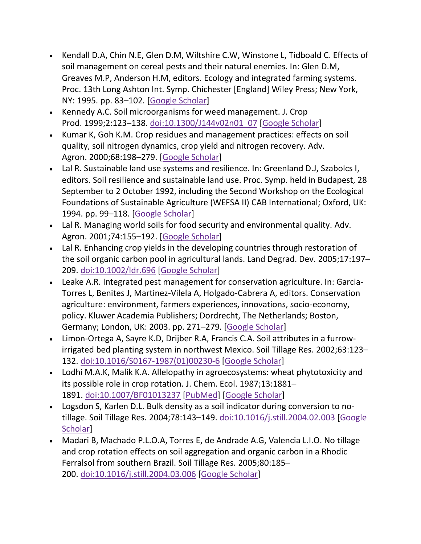- Kendall D.A, Chin N.E, Glen D.M, Wiltshire C.W, Winstone L, Tidboald C. Effects of soil management on cereal pests and their natural enemies. In: Glen D.M, Greaves M.P, Anderson H.M, editors. Ecology and integrated farming systems. Proc. 13th Long Ashton Int. Symp. Chichester [England] Wiley Press; New York, NY: 1995. pp. 83–102. [\[Google Scholar\]](https://scholar.google.com/scholar_lookup?title=Ecology+and+integrated+farming+systems.+Proc.+13th+Long+Ashton+Int.+Symp.+Chichester+%5bEngland%5d&author=D.A+Kendall&author=N.E+Chin&author=D.M+Glen&author=C.W+Wiltshire&author=L+Winstone&publication_year=1995&)
- Kennedy A.C. Soil microorganisms for weed management. J. Crop Prod. 1999;2:123–138. [doi:10.1300/J144v02n01\\_07](http://dx.doi.org/doi:10.1300/J144v02n01_07) [\[Google Scholar\]](https://scholar.google.com/scholar_lookup?journal=J.+Crop+Prod&title=Soil+microorganisms+for+weed+management&author=A.C+Kennedy&volume=2&publication_year=1999&pages=123-138&)
- Kumar K, Goh K.M. Crop residues and management practices: effects on soil quality, soil nitrogen dynamics, crop yield and nitrogen recovery. Adv. Agron. 2000;68:198–279. [\[Google Scholar\]](https://scholar.google.com/scholar_lookup?journal=Adv.+Agron&title=Crop+residues+and+management+practices:+effects+on+soil+quality,+soil+nitrogen+dynamics,+crop+yield+and+nitrogen+recovery&author=K+Kumar&author=K.M+Goh&volume=68&publication_year=2000&pages=198-279&)
- Lal R. Sustainable land use systems and resilience. In: Greenland D.J, Szabolcs I, editors. Soil resilience and sustainable land use. Proc. Symp. held in Budapest, 28 September to 2 October 1992, including the Second Workshop on the Ecological Foundations of Sustainable Agriculture (WEFSA II) CAB International; Oxford, UK: 1994. pp. 99–118. [\[Google Scholar\]](https://scholar.google.com/scholar_lookup?title=Soil+resilience+and+sustainable+land+use.+Proc.+Symp.+held+in+Budapest,+28+September+to+2+October+1992,+including+the+Second+Workshop+on+the+Ecological+Foundations+of+Sustainable+Agriculture+(WEFSA+II)&author=R+Lal&publication_year=1994&)
- Lal R. Managing world soils for food security and environmental quality. Adv. Agron. 2001;74:155–192. [\[Google Scholar\]](https://scholar.google.com/scholar_lookup?journal=Adv.+Agron&title=Managing+world+soils+for+food+security+and+environmental+quality&author=R+Lal&volume=74&publication_year=2001&pages=155-192&)
- Lal R. Enhancing crop yields in the developing countries through restoration of the soil organic carbon pool in agricultural lands. Land Degrad. Dev. 2005;17:197– 209. [doi:10.1002/ldr.696](http://dx.doi.org/doi:10.1002/ldr.696) [\[Google Scholar\]](https://scholar.google.com/scholar_lookup?journal=Land+Degrad.+Dev&title=Enhancing+crop+yields+in+the+developing+countries+through+restoration+of+the+soil+organic+carbon+pool+in+agricultural+lands&author=R+Lal&volume=17&publication_year=2005&pages=197-209&)
- Leake A.R. Integrated pest management for conservation agriculture. In: Garcia-Torres L, Benites J, Martinez-Vilela A, Holgado-Cabrera A, editors. Conservation agriculture: environment, farmers experiences, innovations, socio-economy, policy. Kluwer Academia Publishers; Dordrecht, The Netherlands; Boston, Germany; London, UK: 2003. pp. 271–279. [\[Google Scholar\]](https://scholar.google.com/scholar_lookup?title=Conservation+agriculture:+environment,+farmers+experiences,+innovations,+socio-economy,+policy&author=A.R+Leake&publication_year=2003&)
- Limon-Ortega A, Sayre K.D, Drijber R.A, Francis C.A. Soil attributes in a furrowirrigated bed planting system in northwest Mexico. Soil Tillage Res. 2002;63:123– 132. [doi:10.1016/S0167-1987\(01\)00230-6](http://dx.doi.org/doi:10.1016/S0167-1987(01)00230-6) [\[Google Scholar\]](https://scholar.google.com/scholar_lookup?journal=Soil+Tillage+Res&title=Soil+attributes+in+a+furrow-irrigated+bed+planting+system+in+northwest+Mexico&author=A+Limon-Ortega&author=K.D+Sayre&author=R.A+Drijber&author=C.A+Francis&volume=63&publication_year=2002&pages=123-132&)
- Lodhi M.A.K, Malik K.A. Allelopathy in agroecosystems: wheat phytotoxicity and its possible role in crop rotation. J. Chem. Ecol. 1987;13:1881– 1891. [doi:10.1007/BF01013237](http://dx.doi.org/doi:10.1007/BF01013237) [\[PubMed\]](https://www.ncbi.nlm.nih.gov/pubmed/24302397) [\[Google Scholar\]](https://scholar.google.com/scholar_lookup?journal=J.+Chem.+Ecol&title=Allelopathy+in+agroecosystems:+wheat+phytotoxicity+and+its+possible+role+in+crop+rotation&author=M.A.K+Lodhi&author=K.A+Malik&volume=13&publication_year=1987&pages=1881-1891&)
- Logsdon S, Karlen D.L. Bulk density as a soil indicator during conversion to notillage. Soil Tillage Res. 2004;78:143–149. [doi:10.1016/j.still.2004.02.003](http://dx.doi.org/doi:10.1016/j.still.2004.02.003) [\[Google](https://scholar.google.com/scholar_lookup?journal=Soil+Tillage+Res&title=Bulk+density+as+a+soil+indicator+during+conversion+to+no-tillage&author=S+Logsdon&author=D.L+Karlen&volume=78&publication_year=2004&pages=143-149&)  [Scholar\]](https://scholar.google.com/scholar_lookup?journal=Soil+Tillage+Res&title=Bulk+density+as+a+soil+indicator+during+conversion+to+no-tillage&author=S+Logsdon&author=D.L+Karlen&volume=78&publication_year=2004&pages=143-149&)
- Madari B, Machado P.L.O.A, Torres E, de Andrade A.G, Valencia L.I.O. No tillage and crop rotation effects on soil aggregation and organic carbon in a Rhodic Ferralsol from southern Brazil. Soil Tillage Res. 2005;80:185– 200. [doi:10.1016/j.still.2004.03.006](http://dx.doi.org/doi:10.1016/j.still.2004.03.006) [\[Google Scholar\]](https://scholar.google.com/scholar_lookup?journal=Soil+Tillage+Res&title=No+tillage+and+crop+rotation+effects+on+soil+aggregation+and+organic+carbon+in+a+Rhodic+Ferralsol+from+southern+Brazil&author=B+Madari&author=P.L.O.A+Machado&author=E+Torres&author=A.G+de+Andrade&author=L.I.O+Valencia&volume=80&publication_year=2005&pages=185-200&)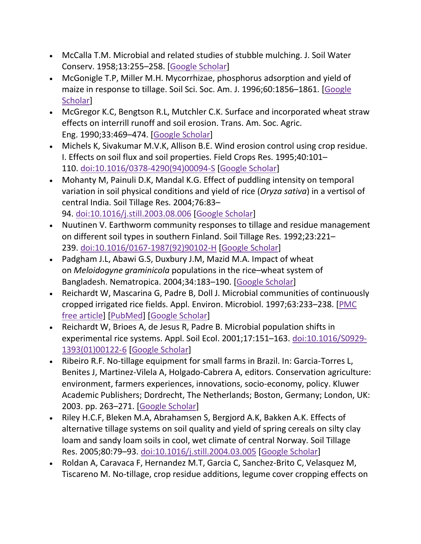- McCalla T.M. Microbial and related studies of stubble mulching. J. Soil Water Conserv. 1958;13:255–258. [\[Google Scholar\]](https://scholar.google.com/scholar_lookup?journal=J.+Soil+Water+Conserv&title=Microbial+and+related+studies+of+stubble+mulching&author=T.M+McCalla&volume=13&publication_year=1958&pages=255-258&)
- McGonigle T.P, Miller M.H. Mycorrhizae, phosphorus adsorption and yield of maize in response to tillage. Soil Sci. Soc. Am. J. 1996;60:1856–1861. [\[Google](https://scholar.google.com/scholar_lookup?journal=Soil+Sci.+Soc.+Am.+J&title=Mycorrhizae,+phosphorus+adsorption+and+yield+of+maize+in+response+to+tillage&author=T.P+McGonigle&author=M.H+Miller&volume=60&publication_year=1996&pages=1856-1861&)  [Scholar\]](https://scholar.google.com/scholar_lookup?journal=Soil+Sci.+Soc.+Am.+J&title=Mycorrhizae,+phosphorus+adsorption+and+yield+of+maize+in+response+to+tillage&author=T.P+McGonigle&author=M.H+Miller&volume=60&publication_year=1996&pages=1856-1861&)
- McGregor K.C, Bengtson R.L, Mutchler C.K. Surface and incorporated wheat straw effects on interrill runoff and soil erosion. Trans. Am. Soc. Agric. Eng. 1990;33:469–474. [\[Google Scholar\]](https://scholar.google.com/scholar_lookup?journal=Trans.+Am.+Soc.+Agric.+Eng&title=Surface+and+incorporated+wheat+straw+effects+on+interrill+runoff+and+soil+erosion&author=K.C+McGregor&author=R.L+Bengtson&author=C.K+Mutchler&volume=33&publication_year=1990&pages=469-474&)
- Michels K, Sivakumar M.V.K, Allison B.E. Wind erosion control using crop residue. I. Effects on soil flux and soil properties. Field Crops Res. 1995;40:101– 110. [doi:10.1016/0378-4290\(94\)00094-S](http://dx.doi.org/doi:10.1016/0378-4290(94)00094-S) [\[Google Scholar\]](https://scholar.google.com/scholar_lookup?journal=Field+Crops+Res&title=Wind+erosion+control+using+crop+residue.+I.+Effects+on+soil+flux+and+soil+properties&author=K+Michels&author=M.V.K+Sivakumar&author=B.E+Allison&volume=40&publication_year=1995&pages=101-110&)
- Mohanty M, Painuli D.K, Mandal K.G. Effect of puddling intensity on temporal variation in soil physical conditions and yield of rice (*Oryza sativa*) in a vertisol of central India. Soil Tillage Res. 2004;76:83– 94. [doi:10.1016/j.still.2003.08.006](http://dx.doi.org/doi:10.1016/j.still.2003.08.006) [\[Google Scholar\]](https://scholar.google.com/scholar_lookup?journal=Soil+Tillage+Res&title=Effect+of+puddling+intensity+on+temporal+variation+in+soil+physical+conditions+and+yield+of+rice+(Oryza+sativa)+in+a+vertisol+of+central+India&author=M+Mohanty&author=D.K+Painuli&author=K.G+Mandal&volume=76&publication_year=2004&pages=83-94&)
- Nuutinen V. Earthworm community responses to tillage and residue management on different soil types in southern Finland. Soil Tillage Res. 1992;23:221– 239. [doi:10.1016/0167-1987\(92\)90102-H](http://dx.doi.org/doi:10.1016/0167-1987(92)90102-H) [\[Google Scholar\]](https://scholar.google.com/scholar_lookup?journal=Soil+Tillage+Res&title=Earthworm+community+responses+to+tillage+and+residue+management+on+different+soil+types+in+southern+Finland&author=V+Nuutinen&volume=23&publication_year=1992&pages=221-239&)
- Padgham J.L, Abawi G.S, Duxbury J.M, Mazid M.A. Impact of wheat on *Meloidogyne graminicola* populations in the rice–wheat system of Bangladesh. Nematropica. 2004;34:183–190. [\[Google Scholar\]](https://scholar.google.com/scholar_lookup?journal=Nematropica&title=Impact+of+wheat+on+Meloidogyne+graminicola+populations+in+the+rice%E2%80%93wheat+system+of+Bangladesh&author=J.L+Padgham&author=G.S+Abawi&author=J.M+Duxbury&author=M.A+Mazid&volume=34&publication_year=2004&pages=183-190&)
- Reichardt W, Mascarina G, Padre B, Doll J. Microbial communities of continuously cropped irrigated rice fields. Appl. Environ. Microbiol. 1997;63:233–238. [\[PMC](https://www.ncbi.nlm.nih.gov/pmc/articles/PMC1389103/)  [free article\]](https://www.ncbi.nlm.nih.gov/pmc/articles/PMC1389103/) [\[PubMed\]](https://www.ncbi.nlm.nih.gov/pubmed/16535489) [\[Google Scholar\]](https://scholar.google.com/scholar_lookup?journal=Appl.+Environ.+Microbiol&title=Microbial+communities+of+continuously+cropped+irrigated+rice+fields&author=W+Reichardt&author=G+Mascarina&author=B+Padre&author=J+Doll&volume=63&publication_year=1997&pages=233-238&pmid=16535489&)
- Reichardt W, Brioes A, de Jesus R, Padre B. Microbial population shifts in experimental rice systems. Appl. Soil Ecol. 2001;17:151–163. [doi:10.1016/S0929-](http://dx.doi.org/doi:10.1016/S0929-1393(01)00122-6) [1393\(01\)00122-6](http://dx.doi.org/doi:10.1016/S0929-1393(01)00122-6) [\[Google Scholar\]](https://scholar.google.com/scholar_lookup?journal=Appl.+Soil+Ecol&title=Microbial+population+shifts+in+experimental+rice+systems&author=W+Reichardt&author=A+Brioes&author=R+de+Jesus&author=B+Padre&volume=17&publication_year=2001&pages=151-163&)
- Ribeiro R.F. No-tillage equipment for small farms in Brazil. In: Garcia-Torres L, Benites J, Martinez-Vilela A, Holgado-Cabrera A, editors. Conservation agriculture: environment, farmers experiences, innovations, socio-economy, policy. Kluwer Academic Publishers; Dordrecht, The Netherlands; Boston, Germany; London, UK: 2003. pp. 263–271. [\[Google Scholar\]](https://scholar.google.com/scholar_lookup?title=Conservation+agriculture:+environment,+farmers+experiences,+innovations,+socio-economy,+policy&author=R.F+Ribeiro&publication_year=2003&)
- Riley H.C.F, Bleken M.A, Abrahamsen S, Bergjord A.K, Bakken A.K. Effects of alternative tillage systems on soil quality and yield of spring cereals on silty clay loam and sandy loam soils in cool, wet climate of central Norway. Soil Tillage Res. 2005;80:79–93. [doi:10.1016/j.still.2004.03.005](http://dx.doi.org/doi:10.1016/j.still.2004.03.005) [\[Google Scholar\]](https://scholar.google.com/scholar_lookup?journal=Soil+Tillage+Res&title=Effects+of+alternative+tillage+systems+on+soil+quality+and+yield+of+spring+cereals+on+silty+clay+loam+and+sandy+loam+soils+in+cool,+wet+climate+of+central+Norway&author=H.C.F+Riley&author=M.A+Bleken&author=S+Abrahamsen&author=A.K+Bergjord&author=A.K+Bakken&volume=80&publication_year=2005&pages=79-93&)
- Roldan A, Caravaca F, Hernandez M.T, Garcia C, Sanchez-Brito C, Velasquez M, Tiscareno M. No-tillage, crop residue additions, legume cover cropping effects on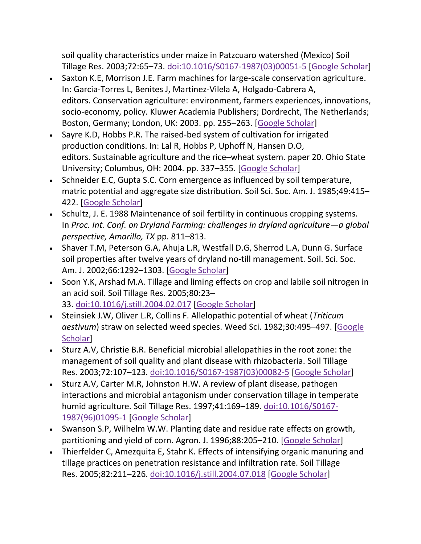soil quality characteristics under maize in Patzcuaro watershed (Mexico) Soil Tillage Res. 2003;72:65–73. [doi:10.1016/S0167-1987\(03\)00051-5](http://dx.doi.org/doi:10.1016/S0167-1987(03)00051-5) [\[Google Scholar\]](https://scholar.google.com/scholar_lookup?journal=Soil+Tillage+Res&title=No-tillage,+crop+residue+additions,+legume+cover+cropping+effects+on+soil+quality+characteristics+under+maize+in+Patzcuaro+watershed+(Mexico)&author=A+Roldan&author=F+Caravaca&author=M.T+Hernandez&author=C+Garcia&author=C+Sanchez-Brito&volume=72&publication_year=2003&pages=65-73&)

- Saxton K.E, Morrison J.E. Farm machines for large-scale conservation agriculture. In: Garcia-Torres L, Benites J, Martinez-Vilela A, Holgado-Cabrera A, editors. Conservation agriculture: environment, farmers experiences, innovations, socio-economy, policy. Kluwer Academia Publishers; Dordrecht, The Netherlands; Boston, Germany; London, UK: 2003. pp. 255–263. [\[Google Scholar\]](https://scholar.google.com/scholar_lookup?title=Conservation+agriculture:+environment,+farmers+experiences,+innovations,+socio-economy,+policy&author=K.E+Saxton&author=J.E+Morrison&publication_year=2003&)
- Sayre K.D, Hobbs P.R. The raised-bed system of cultivation for irrigated production conditions. In: Lal R, Hobbs P, Uphoff N, Hansen D.O, editors. Sustainable agriculture and the rice–wheat system. paper 20. Ohio State University; Columbus, OH: 2004. pp. 337–355. [\[Google Scholar\]](https://scholar.google.com/scholar_lookup?title=Sustainable+agriculture+and+the+rice%E2%80%93wheat+system&title=paper+20&author=K.D+Sayre&author=P.R+Hobbs&publication_year=2004&)
- Schneider E.C, Gupta S.C. Corn emergence as influenced by soil temperature, matric potential and aggregate size distribution. Soil Sci. Soc. Am. J. 1985;49:415– 422. [\[Google Scholar\]](https://scholar.google.com/scholar_lookup?journal=Soil+Sci.+Soc.+Am.+J&title=Corn+emergence+as+influenced+by+soil+temperature,+matric+potential+and+aggregate+size+distribution&author=E.C+Schneider&author=S.C+Gupta&volume=49&publication_year=1985&pages=415-422&)
- Schultz, J. E. 1988 Maintenance of soil fertility in continuous cropping systems. In *Proc. Int. Conf. on Dryland Farming: challenges in dryland agriculture*—*a global perspective, Amarillo, TX* pp. 811–813.
- Shaver T.M, Peterson G.A, Ahuja L.R, Westfall D.G, Sherrod L.A, Dunn G. Surface soil properties after twelve years of dryland no-till management. Soil. Sci. Soc. Am. J. 2002;66:1292–1303. [\[Google Scholar\]](https://scholar.google.com/scholar_lookup?journal=Soil.+Sci.+Soc.+Am.+J&title=Surface+soil+properties+after+twelve+years+of+dryland+no-till+management&author=T.M+Shaver&author=G.A+Peterson&author=L.R+Ahuja&author=D.G+Westfall&author=L.A+Sherrod&volume=66&publication_year=2002&pages=1292-1303&)
- Soon Y.K, Arshad M.A. Tillage and liming effects on crop and labile soil nitrogen in an acid soil. Soil Tillage Res. 2005;80:23– 33. [doi:10.1016/j.still.2004.02.017](http://dx.doi.org/doi:10.1016/j.still.2004.02.017) [\[Google Scholar\]](https://scholar.google.com/scholar_lookup?journal=Soil+Tillage+Res&title=Tillage+and+liming+effects+on+crop+and+labile+soil+nitrogen+in+an+acid+soil&author=Y.K+Soon&author=M.A+Arshad&volume=80&publication_year=2005&pages=23-33&)
- Steinsiek J.W, Oliver L.R, Collins F. Allelopathic potential of wheat (*Triticum aestivum*) straw on selected weed species. Weed Sci. 1982;30:495–497. [\[Google](https://scholar.google.com/scholar_lookup?journal=Weed+Sci&title=Allelopathic+potential+of+wheat+(Triticum+aestivum)+straw+on+selected+weed+species&author=J.W+Steinsiek&author=L.R+Oliver&author=F+Collins&volume=30&publication_year=1982&pages=495-497&)  [Scholar\]](https://scholar.google.com/scholar_lookup?journal=Weed+Sci&title=Allelopathic+potential+of+wheat+(Triticum+aestivum)+straw+on+selected+weed+species&author=J.W+Steinsiek&author=L.R+Oliver&author=F+Collins&volume=30&publication_year=1982&pages=495-497&)
- Sturz A.V, Christie B.R. Beneficial microbial allelopathies in the root zone: the management of soil quality and plant disease with rhizobacteria. Soil Tillage Res. 2003;72:107–123. [doi:10.1016/S0167-1987\(03\)00082-5](http://dx.doi.org/doi:10.1016/S0167-1987(03)00082-5) [\[Google Scholar\]](https://scholar.google.com/scholar_lookup?journal=Soil+Tillage+Res&title=Beneficial+microbial+allelopathies+in+the+root+zone:+the+management+of+soil+quality+and+plant+disease+with+rhizobacteria&author=A.V+Sturz&author=B.R+Christie&volume=72&publication_year=2003&pages=107-123&)
- Sturz A.V, Carter M.R, Johnston H.W. A review of plant disease, pathogen interactions and microbial antagonism under conservation tillage in temperate humid agriculture. Soil Tillage Res. 1997;41:169–189. [doi:10.1016/S0167-](http://dx.doi.org/doi:10.1016/S0167-1987(96)01095-1) [1987\(96\)01095-1](http://dx.doi.org/doi:10.1016/S0167-1987(96)01095-1) [\[Google Scholar\]](https://scholar.google.com/scholar_lookup?journal=Soil+Tillage+Res&title=A+review+of+plant+disease,+pathogen+interactions+and+microbial+antagonism+under+conservation+tillage+in+temperate+humid+agriculture&author=A.V+Sturz&author=M.R+Carter&author=H.W+Johnston&volume=41&publication_year=1997&pages=169-189&)
- Swanson S.P, Wilhelm W.W. Planting date and residue rate effects on growth, partitioning and yield of corn. Agron. J. 1996;88:205–210. [\[Google Scholar\]](https://scholar.google.com/scholar_lookup?journal=Agron.+J&title=Planting+date+and+residue+rate+effects+on+growth,+partitioning+and+yield+of+corn&author=S.P+Swanson&author=W.W+Wilhelm&volume=88&publication_year=1996&pages=205-210&)
- Thierfelder C, Amezquita E, Stahr K. Effects of intensifying organic manuring and tillage practices on penetration resistance and infiltration rate. Soil Tillage Res. 2005;82:211–226. [doi:10.1016/j.still.2004.07.018](http://dx.doi.org/doi:10.1016/j.still.2004.07.018) [\[Google Scholar\]](https://scholar.google.com/scholar_lookup?journal=Soil+Tillage+Res&title=Effects+of+intensifying+organic+manuring+and+tillage+practices+on+penetration+resistance+and+infiltration+rate&author=C+Thierfelder&author=E+Amezquita&author=K+Stahr&volume=82&publication_year=2005&pages=211-226&)